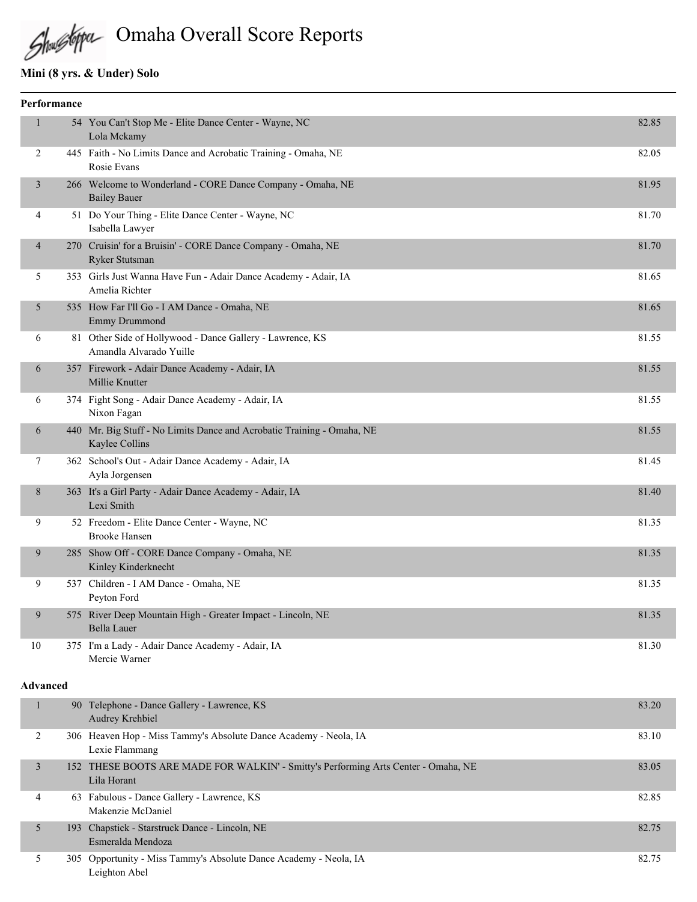# Omaha Overall Score Reports

# **Mini (8 yrs. & Under) Solo**

|                | Performance |                                                                                          |       |
|----------------|-------------|------------------------------------------------------------------------------------------|-------|
| $\mathbf{1}$   |             | 54 You Can't Stop Me - Elite Dance Center - Wayne, NC<br>Lola Mckamy                     | 82.85 |
| 2              |             | 445 Faith - No Limits Dance and Acrobatic Training - Omaha, NE<br>Rosie Evans            | 82.05 |
| $\overline{3}$ |             | 266 Welcome to Wonderland - CORE Dance Company - Omaha, NE<br><b>Bailey Bauer</b>        | 81.95 |
| 4              |             | 51 Do Your Thing - Elite Dance Center - Wayne, NC<br>Isabella Lawyer                     | 81.70 |
| $\overline{4}$ |             | 270 Cruisin' for a Bruisin' - CORE Dance Company - Omaha, NE<br>Ryker Stutsman           | 81.70 |
| 5              |             | 353 Girls Just Wanna Have Fun - Adair Dance Academy - Adair, IA<br>Amelia Richter        | 81.65 |
| 5              |             | 535 How Far I'll Go - I AM Dance - Omaha, NE<br><b>Emmy Drummond</b>                     | 81.65 |
| 6              |             | 81 Other Side of Hollywood - Dance Gallery - Lawrence, KS<br>Amandla Alvarado Yuille     | 81.55 |
| 6              |             | 357 Firework - Adair Dance Academy - Adair, IA<br>Millie Knutter                         | 81.55 |
| 6              |             | 374 Fight Song - Adair Dance Academy - Adair, IA<br>Nixon Fagan                          | 81.55 |
| 6              |             | 440 Mr. Big Stuff - No Limits Dance and Acrobatic Training - Omaha, NE<br>Kaylee Collins | 81.55 |
| $\tau$         |             | 362 School's Out - Adair Dance Academy - Adair, IA<br>Ayla Jorgensen                     | 81.45 |
| 8              |             | 363 It's a Girl Party - Adair Dance Academy - Adair, IA<br>Lexi Smith                    | 81.40 |
| 9              |             | 52 Freedom - Elite Dance Center - Wayne, NC<br><b>Brooke Hansen</b>                      | 81.35 |
| 9              |             | 285 Show Off - CORE Dance Company - Omaha, NE<br>Kinley Kinderknecht                     | 81.35 |
| 9              |             | 537 Children - I AM Dance - Omaha, NE<br>Peyton Ford                                     | 81.35 |
| 9              |             | 575 River Deep Mountain High - Greater Impact - Lincoln, NE<br><b>Bella Lauer</b>        | 81.35 |
| 10             |             | 375 I'm a Lady - Adair Dance Academy - Adair, IA<br>Mercie Warner                        | 81.30 |

#### **Advanced**

|   | 90 Telephone - Dance Gallery - Lawrence, KS<br>Audrey Krehbiel                                    | 83.20 |
|---|---------------------------------------------------------------------------------------------------|-------|
| 2 | 306 Heaven Hop - Miss Tammy's Absolute Dance Academy - Neola, IA<br>Lexie Flammang                | 83.10 |
| 3 | 152 THESE BOOTS ARE MADE FOR WALKIN' - Smitty's Performing Arts Center - Omaha, NE<br>Lila Horant | 83.05 |
| 4 | 63 Fabulous - Dance Gallery - Lawrence, KS<br>Makenzie McDaniel                                   | 82.85 |
|   | 193 Chapstick - Starstruck Dance - Lincoln, NE<br>Esmeralda Mendoza                               | 82.75 |
|   | 305 Opportunity - Miss Tammy's Absolute Dance Academy - Neola, IA<br>Leighton Abel                | 82.75 |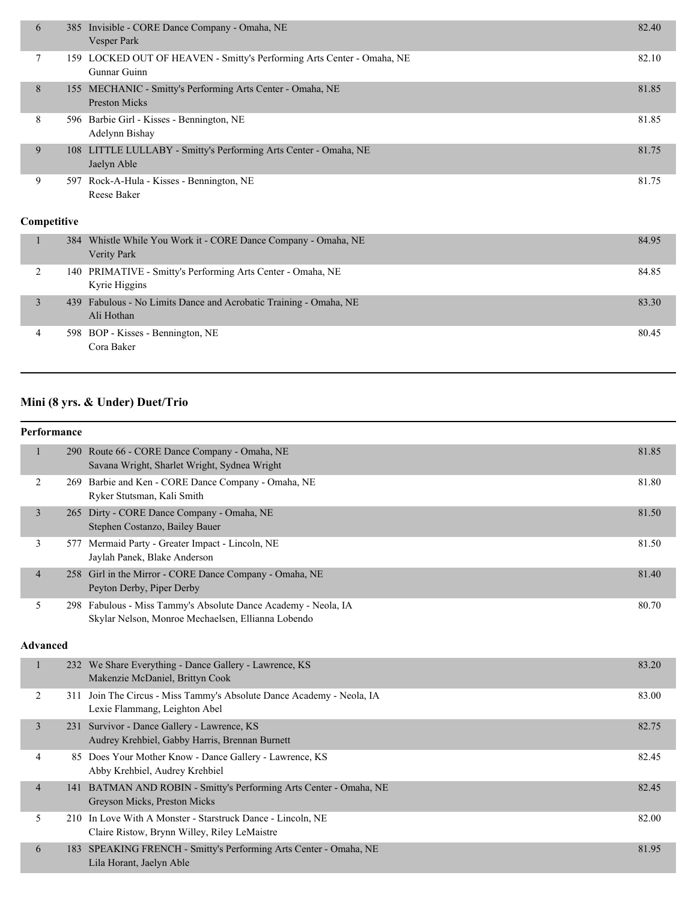| 6           |     | 385 Invisible - CORE Dance Company - Omaha, NE<br>Vesper Park                          | 82.40 |
|-------------|-----|----------------------------------------------------------------------------------------|-------|
| 7           |     | 159 LOCKED OUT OF HEAVEN - Smitty's Performing Arts Center - Omaha, NE<br>Gunnar Guinn | 82.10 |
| 8           |     | 155 MECHANIC - Smitty's Performing Arts Center - Omaha, NE<br><b>Preston Micks</b>     | 81.85 |
| 8           |     | 596 Barbie Girl - Kisses - Bennington, NE<br>Adelynn Bishay                            | 81.85 |
| 9           | 108 | LITTLE LULLABY - Smitty's Performing Arts Center - Omaha, NE<br>Jaelyn Able            | 81.75 |
| 9           |     | 597 Rock-A-Hula - Kisses - Bennington, NE<br>Reese Baker                               | 81.75 |
| Competitive |     |                                                                                        |       |
| 1           | 384 | Whistle While You Work it - CORE Dance Company - Omaha, NE<br>Verity Park              | 84.95 |
| 2           | 140 | PRIMATIVE - Smitty's Performing Arts Center - Omaha, NE<br>Kyrie Higgins               | 84.85 |
| 3           | 439 | Fabulous - No Limits Dance and Acrobatic Training - Omaha, NE<br>Ali Hothan            | 83.30 |

4 598 BOP - Kisses - Bennington, NE 80.45 Cora Baker

# **Mini (8 yrs. & Under) Duet/Trio**

#### **Performance**

|                 | $\mathbf{1}$   |  | 290 Route 66 - CORE Dance Company - Omaha, NE<br>Savana Wright, Sharlet Wright, Sydnea Wright                        | 81.85 |
|-----------------|----------------|--|----------------------------------------------------------------------------------------------------------------------|-------|
|                 | 2              |  | 269 Barbie and Ken - CORE Dance Company - Omaha, NE<br>Ryker Stutsman, Kali Smith                                    | 81.80 |
|                 | 3              |  | 265 Dirty - CORE Dance Company - Omaha, NE<br>Stephen Costanzo, Bailey Bauer                                         | 81.50 |
|                 | 3              |  | 577 Mermaid Party - Greater Impact - Lincoln, NE<br>Jaylah Panek, Blake Anderson                                     | 81.50 |
|                 | $\overline{4}$ |  | 258 Girl in the Mirror - CORE Dance Company - Omaha, NE<br>Peyton Derby, Piper Derby                                 | 81.40 |
|                 | 5              |  | 298 Fabulous - Miss Tammy's Absolute Dance Academy - Neola, IA<br>Skylar Nelson, Monroe Mechaelsen, Ellianna Lobendo | 80.70 |
| <b>Advanced</b> |                |  |                                                                                                                      |       |
|                 | $\mathbf{1}$   |  | 232 We Share Everything - Dance Gallery - Lawrence, KS<br>Makenzie McDaniel, Brittyn Cook                            | 83.20 |
|                 | 2              |  | 311 Join The Circus - Miss Tammy's Absolute Dance Academy - Neola, IA<br>Lexie Flammang, Leighton Abel               | 83.00 |
|                 | 3              |  | 231 Survivor - Dance Gallery - Lawrence, KS<br>Audrey Krehbiel, Gabby Harris, Brennan Burnett                        | 82.75 |
|                 | $\overline{4}$ |  | 85 Does Your Mother Know - Dance Gallery - Lawrence, KS<br>Abby Krehbiel, Audrey Krehbiel                            | 82.45 |
|                 | $\overline{4}$ |  | 141 BATMAN AND ROBIN - Smitty's Performing Arts Center - Omaha, NE<br>Greyson Micks, Preston Micks                   | 82.45 |
|                 | 5              |  | 210 In Love With A Monster - Starstruck Dance - Lincoln, NE<br>Claire Ristow, Brynn Willey, Riley LeMaistre          | 82.00 |
|                 | 6              |  | 183 SPEAKING FRENCH - Smitty's Performing Arts Center - Omaha, NE<br>Lila Horant, Jaelyn Able                        | 81.95 |
|                 |                |  |                                                                                                                      |       |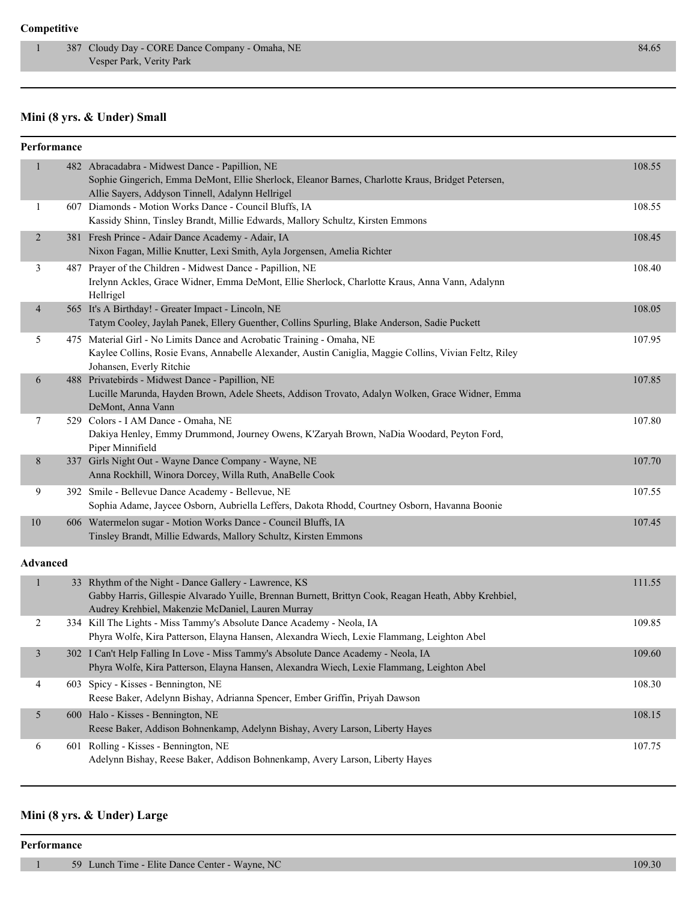## **Competitive**

## **Mini (8 yrs. & Under) Small**

| Performance     |                                                                                                                                                                                                                    |        |
|-----------------|--------------------------------------------------------------------------------------------------------------------------------------------------------------------------------------------------------------------|--------|
| $\mathbf{1}$    | 482 Abracadabra - Midwest Dance - Papillion, NE<br>Sophie Gingerich, Emma DeMont, Ellie Sherlock, Eleanor Barnes, Charlotte Kraus, Bridget Petersen,<br>Allie Sayers, Addyson Tinnell, Adalynn Hellrigel           | 108.55 |
| 1               | 607 Diamonds - Motion Works Dance - Council Bluffs, IA<br>Kassidy Shinn, Tinsley Brandt, Millie Edwards, Mallory Schultz, Kirsten Emmons                                                                           | 108.55 |
| $\overline{2}$  | 381 Fresh Prince - Adair Dance Academy - Adair, IA<br>Nixon Fagan, Millie Knutter, Lexi Smith, Ayla Jorgensen, Amelia Richter                                                                                      | 108.45 |
| 3               | 487 Prayer of the Children - Midwest Dance - Papillion, NE<br>Irelynn Ackles, Grace Widner, Emma DeMont, Ellie Sherlock, Charlotte Kraus, Anna Vann, Adalynn<br>Hellrigel                                          | 108.40 |
| 4               | 565 It's A Birthday! - Greater Impact - Lincoln, NE<br>Tatym Cooley, Jaylah Panek, Ellery Guenther, Collins Spurling, Blake Anderson, Sadie Puckett                                                                | 108.05 |
| 5               | 475 Material Girl - No Limits Dance and Acrobatic Training - Omaha, NE<br>Kaylee Collins, Rosie Evans, Annabelle Alexander, Austin Caniglia, Maggie Collins, Vivian Feltz, Riley<br>Johansen, Everly Ritchie       | 107.95 |
| 6               | 488 Privatebirds - Midwest Dance - Papillion, NE<br>Lucille Marunda, Hayden Brown, Adele Sheets, Addison Trovato, Adalyn Wolken, Grace Widner, Emma<br>DeMont, Anna Vann                                           | 107.85 |
| 7               | 529 Colors - I AM Dance - Omaha, NE<br>Dakiya Henley, Emmy Drummond, Journey Owens, K'Zaryah Brown, NaDia Woodard, Peyton Ford,<br>Piper Minnifield                                                                | 107.80 |
| 8               | 337 Girls Night Out - Wayne Dance Company - Wayne, NE<br>Anna Rockhill, Winora Dorcey, Willa Ruth, AnaBelle Cook                                                                                                   | 107.70 |
| 9               | 392 Smile - Bellevue Dance Academy - Bellevue, NE<br>Sophia Adame, Jaycee Osborn, Aubriella Leffers, Dakota Rhodd, Courtney Osborn, Havanna Boonie                                                                 | 107.55 |
| $10\,$          | 606 Watermelon sugar - Motion Works Dance - Council Bluffs, IA<br>Tinsley Brandt, Millie Edwards, Mallory Schultz, Kirsten Emmons                                                                                  | 107.45 |
| <b>Advanced</b> |                                                                                                                                                                                                                    |        |
| $\mathbf{1}$    | 33 Rhythm of the Night - Dance Gallery - Lawrence, KS<br>Gabby Harris, Gillespie Alvarado Yuille, Brennan Burnett, Brittyn Cook, Reagan Heath, Abby Krehbiel,<br>Audrey Krehbiel, Makenzie McDaniel, Lauren Murray | 111.55 |
| 2               | 334 Kill The Lights - Miss Tammy's Absolute Dance Academy - Neola, IA<br>Phyra Wolfe, Kira Patterson, Elayna Hansen, Alexandra Wiech, Lexie Flammang, Leighton Abel                                                | 109.85 |
| 3               | 302 I Can't Help Falling In Love - Miss Tammy's Absolute Dance Academy - Neola, IA<br>Phyra Wolfe, Kira Patterson, Elayna Hansen, Alexandra Wiech, Lexie Flammang, Leighton Abel                                   | 109.60 |
| 4               | 603 Spicy - Kisses - Bennington, NE<br>Reese Baker, Adelynn Bishay, Adrianna Spencer, Ember Griffin, Priyah Dawson                                                                                                 | 108.30 |
| 5               | 600 Halo - Kisses - Bennington, NE<br>Reese Baker, Addison Bohnenkamp, Adelynn Bishay, Avery Larson, Liberty Hayes                                                                                                 | 108.15 |
| 6               | 601 Rolling - Kisses - Bennington, NE<br>Adelynn Bishay, Reese Baker, Addison Bohnenkamp, Avery Larson, Liberty Hayes                                                                                              | 107.75 |

# **Mini (8 yrs. & Under) Large**

**Performance**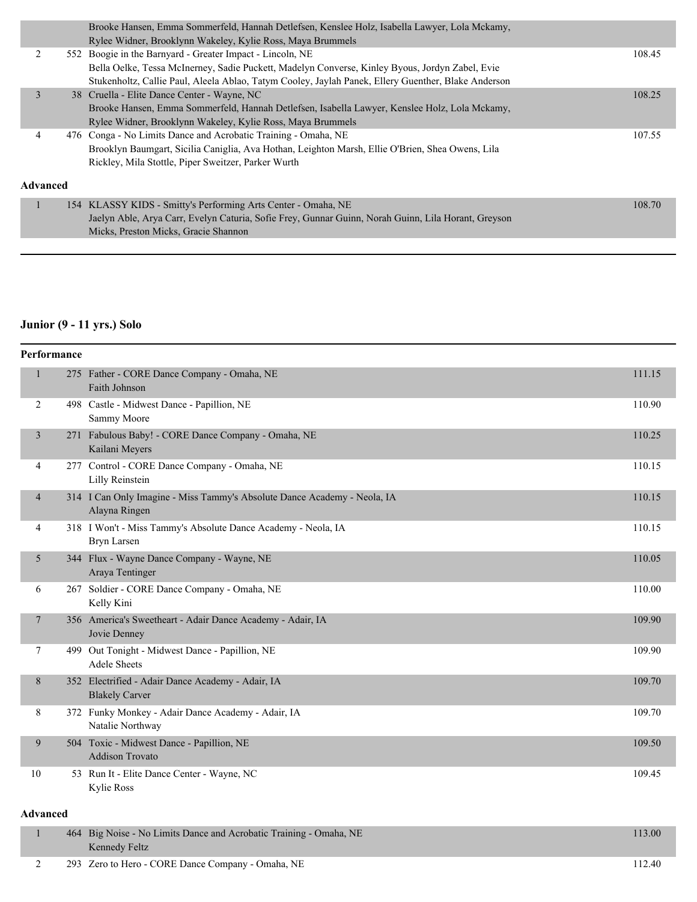|                 | Brooke Hansen, Emma Sommerfeld, Hannah Detlefsen, Kenslee Holz, Isabella Lawyer, Lola Mckamy,       |        |
|-----------------|-----------------------------------------------------------------------------------------------------|--------|
|                 | Rylee Widner, Brooklynn Wakeley, Kylie Ross, Maya Brummels                                          |        |
|                 | 552 Boogie in the Barnyard - Greater Impact - Lincoln, NE                                           | 108.45 |
|                 | Bella Oelke, Tessa McInerney, Sadie Puckett, Madelyn Converse, Kinley Byous, Jordyn Zabel, Evie     |        |
|                 | Stukenholtz, Callie Paul, Aleela Ablao, Tatym Cooley, Jaylah Panek, Ellery Guenther, Blake Anderson |        |
| 3               | 38 Cruella - Elite Dance Center - Wayne, NC                                                         | 108.25 |
|                 | Brooke Hansen, Emma Sommerfeld, Hannah Detlefsen, Isabella Lawyer, Kenslee Holz, Lola Mckamy,       |        |
|                 | Rylee Widner, Brooklynn Wakeley, Kylie Ross, Maya Brummels                                          |        |
| 4               | 476 Conga - No Limits Dance and Acrobatic Training - Omaha, NE                                      | 107.55 |
|                 | Brooklyn Baumgart, Sicilia Caniglia, Ava Hothan, Leighton Marsh, Ellie O'Brien, Shea Owens, Lila    |        |
|                 | Rickley, Mila Stottle, Piper Sweitzer, Parker Wurth                                                 |        |
| <b>Advanced</b> |                                                                                                     |        |
|                 | 154 KLASSY KIDS - Smitty's Performing Arts Center - Omaha, NE                                       | 108.70 |
|                 | Jaelyn Able, Arya Carr, Evelyn Caturia, Sofie Frey, Gunnar Guinn, Norah Guinn, Lila Horant, Greyson |        |
|                 | Micks, Preston Micks, Gracie Shannon                                                                |        |
|                 |                                                                                                     |        |

# **Junior (9 - 11 yrs.) Solo**

| Performance             |                                                                                           |        |
|-------------------------|-------------------------------------------------------------------------------------------|--------|
| $\mathbf{1}$            | 275 Father - CORE Dance Company - Omaha, NE<br>Faith Johnson                              | 111.15 |
| 2                       | 498 Castle - Midwest Dance - Papillion, NE<br>Sammy Moore                                 | 110.90 |
| $\overline{\mathbf{3}}$ | 271 Fabulous Baby! - CORE Dance Company - Omaha, NE<br>Kailani Meyers                     | 110.25 |
| 4                       | 277 Control - CORE Dance Company - Omaha, NE<br>Lilly Reinstein                           | 110.15 |
| 4                       | 314 I Can Only Imagine - Miss Tammy's Absolute Dance Academy - Neola, IA<br>Alayna Ringen | 110.15 |
| 4                       | 318 I Won't - Miss Tammy's Absolute Dance Academy - Neola, IA<br><b>Bryn Larsen</b>       | 110.15 |
| 5                       | 344 Flux - Wayne Dance Company - Wayne, NE<br>Araya Tentinger                             | 110.05 |
| 6                       | 267 Soldier - CORE Dance Company - Omaha, NE<br>Kelly Kini                                | 110.00 |
| 7                       | 356 America's Sweetheart - Adair Dance Academy - Adair, IA<br>Jovie Denney                | 109.90 |
| 7                       | 499 Out Tonight - Midwest Dance - Papillion, NE<br><b>Adele Sheets</b>                    | 109.90 |
| 8                       | 352 Electrified - Adair Dance Academy - Adair, IA<br><b>Blakely Carver</b>                | 109.70 |
| 8                       | 372 Funky Monkey - Adair Dance Academy - Adair, IA<br>Natalie Northway                    | 109.70 |
| 9                       | 504 Toxic - Midwest Dance - Papillion, NE<br><b>Addison Trovato</b>                       | 109.50 |
| 10                      | 53 Run It - Elite Dance Center - Wayne, NC<br>Kylie Ross                                  | 109.45 |
| <b>Advanced</b>         |                                                                                           |        |

# 1 464 Big Noise - No Limits Dance and Acrobatic Training - Omaha, NE 113.00 Kennedy Feltz 2 293 Zero to Hero - CORE Dance Company - Omaha, NE 112.40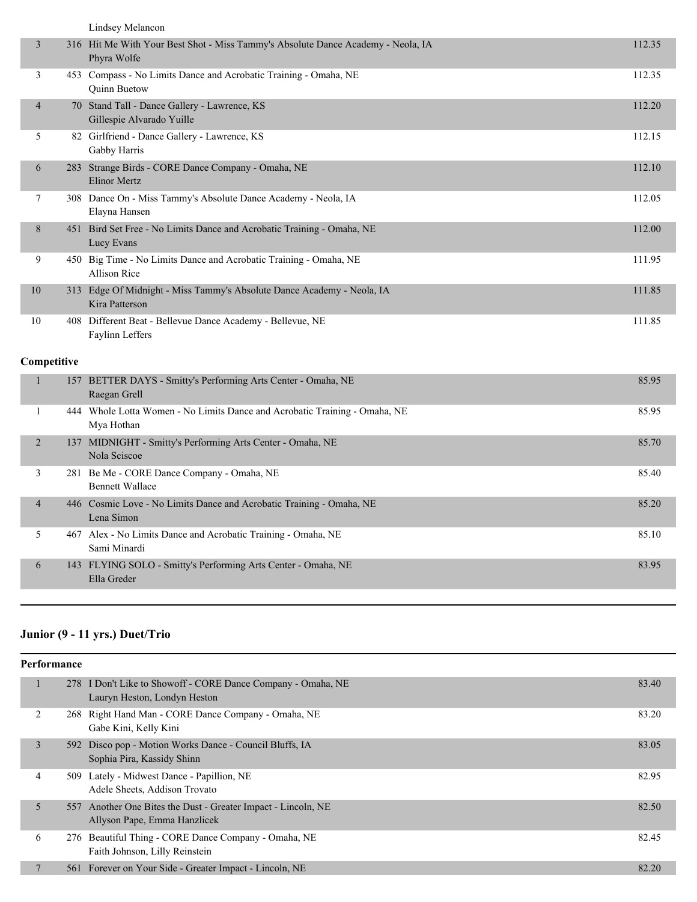|                | Lindsey Melancon                                                                                |        |
|----------------|-------------------------------------------------------------------------------------------------|--------|
| 3              | 316 Hit Me With Your Best Shot - Miss Tammy's Absolute Dance Academy - Neola, IA<br>Phyra Wolfe | 112.35 |
| 3              | 453 Compass - No Limits Dance and Acrobatic Training - Omaha, NE<br><b>Ouinn Buetow</b>         | 112.35 |
| $\overline{4}$ | 70 Stand Tall - Dance Gallery - Lawrence, KS<br>Gillespie Alvarado Yuille                       | 112.20 |
| 5              | 82 Girlfriend - Dance Gallery - Lawrence, KS<br>Gabby Harris                                    | 112.15 |
| 6              | 283 Strange Birds - CORE Dance Company - Omaha, NE<br><b>Elinor Mertz</b>                       | 112.10 |
| 7              | 308 Dance On - Miss Tammy's Absolute Dance Academy - Neola, IA<br>Elayna Hansen                 | 112.05 |
| 8              | 451 Bird Set Free - No Limits Dance and Acrobatic Training - Omaha, NE<br>Lucy Evans            | 112.00 |
| 9              | 450 Big Time - No Limits Dance and Acrobatic Training - Omaha, NE<br>Allison Rice               | 111.95 |
| 10             | 313 Edge Of Midnight - Miss Tammy's Absolute Dance Academy - Neola, IA<br>Kira Patterson        | 111.85 |
| 10             | 408 Different Beat - Bellevue Dance Academy - Bellevue, NE<br>Faylinn Leffers                   | 111.85 |
| Competitive    |                                                                                                 |        |
| $\mathbf{1}$   | 157 BETTER DAYS - Smitty's Performing Arts Center - Omaha, NE<br>Raegan Grell                   | 85.95  |
| 1              | 444 Whole Lotta Women - No Limits Dance and Acrobatic Training - Omaha, NE<br>Mya Hothan        | 85.95  |
| $\overline{2}$ | 137 MIDNIGHT - Smitty's Performing Arts Center - Omaha, NE<br>Nola Sciscoe                      | 85.70  |
| 3              | 281 Be Me - CORE Dance Company - Omaha, NE<br><b>Bennett Wallace</b>                            | 85.40  |
| $\overline{4}$ | 446 Cosmic Love - No Limits Dance and Acrobatic Training - Omaha, NE<br>Lena Simon              | 85.20  |
| 5              | 467 Alex - No Limits Dance and Acrobatic Training - Omaha, NE<br>Sami Minardi                   | 85.10  |
| 6              | 143 FLYING SOLO - Smitty's Performing Arts Center - Omaha, NE<br>Ella Greder                    | 83.95  |
|                |                                                                                                 |        |

# **Junior (9 - 11 yrs.) Duet/Trio**

| <b>Performance</b> |                                                                                                 |       |
|--------------------|-------------------------------------------------------------------------------------------------|-------|
| 1                  | I Don't Like to Showoff - CORE Dance Company - Omaha, NE<br>278<br>Lauryn Heston, Londyn Heston | 83.40 |
| 2                  | 268 Right Hand Man - CORE Dance Company - Omaha, NE<br>Gabe Kini, Kelly Kini                    | 83.20 |
| 3                  | 592 Disco pop - Motion Works Dance - Council Bluffs, IA<br>Sophia Pira, Kassidy Shinn           | 83.05 |
| 4                  | Lately - Midwest Dance - Papillion, NE<br>509<br>Adele Sheets, Addison Trovato                  | 82.95 |
| 5                  | 557 Another One Bites the Dust - Greater Impact - Lincoln, NE<br>Allyson Pape, Emma Hanzlicek   | 82.50 |
| 6                  | Beautiful Thing - CORE Dance Company - Omaha, NE<br>276<br>Faith Johnson, Lilly Reinstein       | 82.45 |
|                    | 561 Forever on Your Side - Greater Impact - Lincoln, NE                                         | 82.20 |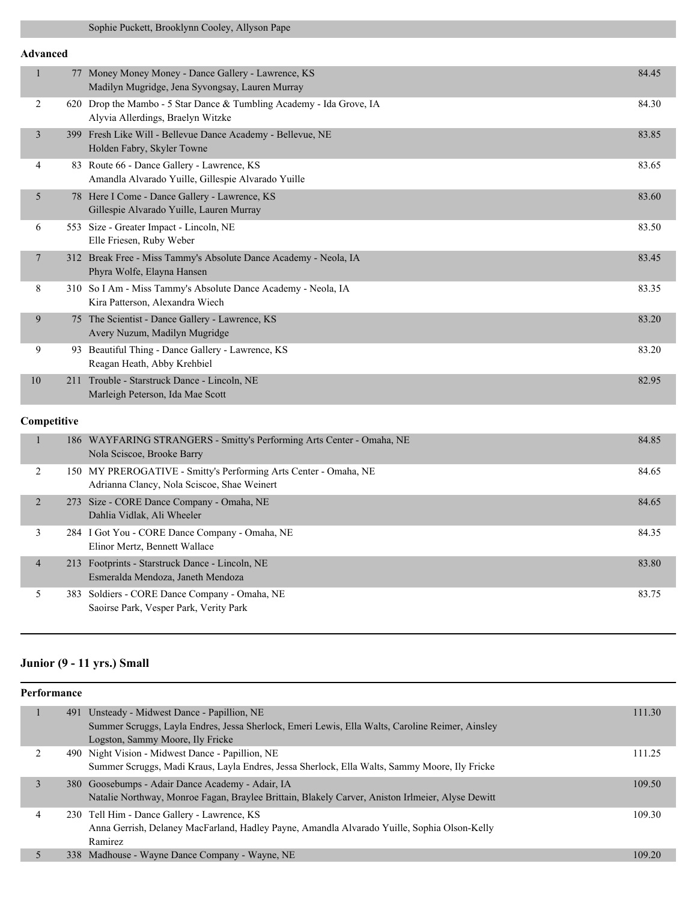### **Advanced**

| $\mathbf{1}$   | 77 Money Money Money - Dance Gallery - Lawrence, KS<br>Madilyn Mugridge, Jena Syvongsay, Lauren Murray          | 84.45 |
|----------------|-----------------------------------------------------------------------------------------------------------------|-------|
| 2              | 620 Drop the Mambo - 5 Star Dance & Tumbling Academy - Ida Grove, IA<br>Alyvia Allerdings, Braelyn Witzke       | 84.30 |
| $\mathfrak{Z}$ | 399 Fresh Like Will - Bellevue Dance Academy - Bellevue, NE<br>Holden Fabry, Skyler Towne                       | 83.85 |
| 4              | 83 Route 66 - Dance Gallery - Lawrence, KS<br>Amandla Alvarado Yuille, Gillespie Alvarado Yuille                | 83.65 |
| 5              | 78 Here I Come - Dance Gallery - Lawrence, KS<br>Gillespie Alvarado Yuille, Lauren Murray                       | 83.60 |
| 6              | 553 Size - Greater Impact - Lincoln, NE<br>Elle Friesen, Ruby Weber                                             | 83.50 |
| $\overline{7}$ | 312 Break Free - Miss Tammy's Absolute Dance Academy - Neola, IA<br>Phyra Wolfe, Elayna Hansen                  | 83.45 |
| 8              | 310 So I Am - Miss Tammy's Absolute Dance Academy - Neola, IA<br>Kira Patterson, Alexandra Wiech                | 83.35 |
| 9              | 75 The Scientist - Dance Gallery - Lawrence, KS<br>Avery Nuzum, Madilyn Mugridge                                | 83.20 |
| 9              | 93 Beautiful Thing - Dance Gallery - Lawrence, KS<br>Reagan Heath, Abby Krehbiel                                | 83.20 |
| 10             | 211 Trouble - Starstruck Dance - Lincoln, NE<br>Marleigh Peterson, Ida Mae Scott                                | 82.95 |
| Competitive    |                                                                                                                 |       |
| $\mathbf{1}$   | 186 WAYFARING STRANGERS - Smitty's Performing Arts Center - Omaha, NE<br>Nola Sciscoe, Brooke Barry             | 84.85 |
| 2              | 150 MY PREROGATIVE - Smitty's Performing Arts Center - Omaha, NE<br>Adrianna Clancy, Nola Sciscoe, Shae Weinert | 84.65 |
| $\overline{2}$ | 273 Size - CORE Dance Company - Omaha, NE<br>Dahlia Vidlak, Ali Wheeler                                         | 84.65 |
| 3              | 284 I Got You - CORE Dance Company - Omaha, NE<br>Elinor Mertz, Bennett Wallace                                 | 84.35 |
| $\overline{4}$ | 213 Footprints - Starstruck Dance - Lincoln, NE                                                                 | 83.80 |

Esmeralda Mendoza, Janeth Mendoza 5 383 Soldiers - CORE Dance Company - Omaha, NE 83.75 Saoirse Park, Vesper Park, Verity Park

# **Junior (9 - 11 yrs.) Small**

|   | Performance |                                                                                                  |        |  |  |  |
|---|-------------|--------------------------------------------------------------------------------------------------|--------|--|--|--|
|   |             | 491 Unsteady - Midwest Dance - Papillion, NE                                                     | 111.30 |  |  |  |
|   |             | Summer Scruggs, Layla Endres, Jessa Sherlock, Emeri Lewis, Ella Walts, Caroline Reimer, Ainsley  |        |  |  |  |
|   |             | Logston, Sammy Moore, Ily Fricke                                                                 |        |  |  |  |
|   |             | 490 Night Vision - Midwest Dance - Papillion, NE                                                 | 111.25 |  |  |  |
|   |             | Summer Scruggs, Madi Kraus, Layla Endres, Jessa Sherlock, Ella Walts, Sammy Moore, Ily Fricke    |        |  |  |  |
| 3 |             | 380 Goosebumps - Adair Dance Academy - Adair, IA                                                 | 109.50 |  |  |  |
|   |             | Natalie Northway, Monroe Fagan, Braylee Brittain, Blakely Carver, Aniston Irlmeier, Alyse Dewitt |        |  |  |  |
| 4 |             | 230 Tell Him - Dance Gallery - Lawrence, KS                                                      | 109.30 |  |  |  |
|   |             | Anna Gerrish, Delaney MacFarland, Hadley Payne, Amandla Alvarado Yuille, Sophia Olson-Kelly      |        |  |  |  |
|   |             | Ramirez                                                                                          |        |  |  |  |
|   |             | 338 Madhouse - Wayne Dance Company - Wayne, NE                                                   | 109.20 |  |  |  |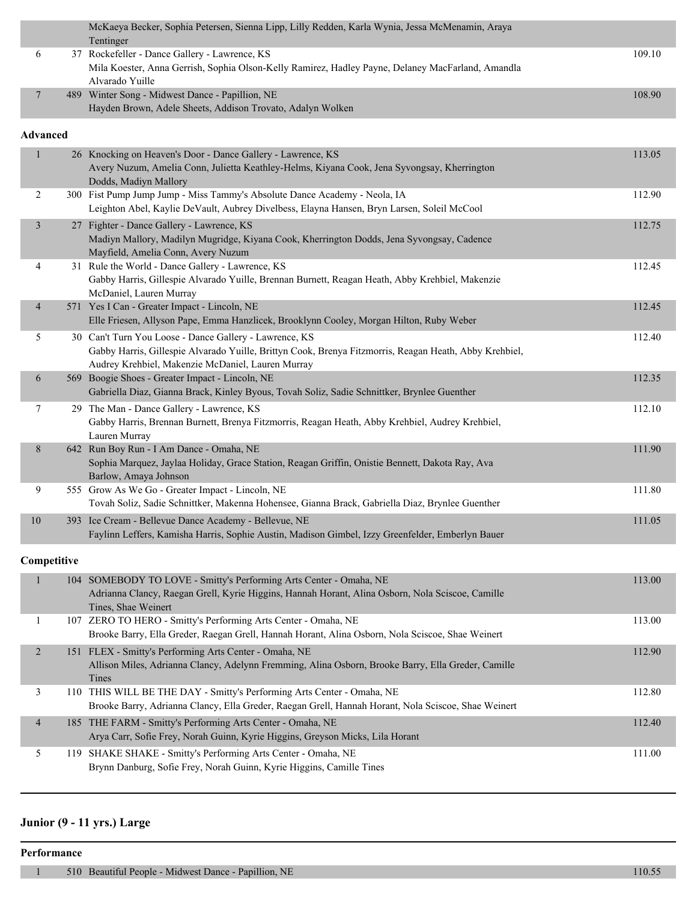|  | McKaeya Becker, Sophia Petersen, Sienna Lipp, Lilly Redden, Karla Wynia, Jessa McMenamin, Araya   |        |
|--|---------------------------------------------------------------------------------------------------|--------|
|  | Tentinger                                                                                         |        |
|  | 37 Rockefeller - Dance Gallery - Lawrence, KS                                                     | 109.10 |
|  | Mila Koester, Anna Gerrish, Sophia Olson-Kelly Ramirez, Hadley Payne, Delaney MacFarland, Amandla |        |
|  | Alvarado Yuille                                                                                   |        |
|  | 489 Winter Song - Midwest Dance - Papillion, NE                                                   | 108.90 |
|  | Hayden Brown, Adele Sheets, Addison Trovato, Adalyn Wolken                                        |        |

#### **Advanced**

| $\mathbf{1}$             | 26 Knocking on Heaven's Door - Dance Gallery - Lawrence, KS<br>Avery Nuzum, Amelia Conn, Julietta Keathley-Helms, Kiyana Cook, Jena Syvongsay, Kherrington<br>Dodds, Madiyn Mallory                                   | 113.05 |
|--------------------------|-----------------------------------------------------------------------------------------------------------------------------------------------------------------------------------------------------------------------|--------|
| 2                        | 300 Fist Pump Jump Jump - Miss Tammy's Absolute Dance Academy - Neola, IA<br>Leighton Abel, Kaylie DeVault, Aubrey Divelbess, Elayna Hansen, Bryn Larsen, Soleil McCool                                               | 112.90 |
| $\mathfrak{Z}$           | 27 Fighter - Dance Gallery - Lawrence, KS<br>Madiyn Mallory, Madilyn Mugridge, Kiyana Cook, Kherrington Dodds, Jena Syvongsay, Cadence<br>Mayfield, Amelia Conn, Avery Nuzum                                          | 112.75 |
| 4                        | 31 Rule the World - Dance Gallery - Lawrence, KS<br>Gabby Harris, Gillespie Alvarado Yuille, Brennan Burnett, Reagan Heath, Abby Krehbiel, Makenzie<br>McDaniel, Lauren Murray                                        | 112.45 |
| $\overline{\mathcal{A}}$ | 571 Yes I Can - Greater Impact - Lincoln, NE<br>Elle Friesen, Allyson Pape, Emma Hanzlicek, Brooklynn Cooley, Morgan Hilton, Ruby Weber                                                                               | 112.45 |
| 5                        | 30 Can't Turn You Loose - Dance Gallery - Lawrence, KS<br>Gabby Harris, Gillespie Alvarado Yuille, Brittyn Cook, Brenya Fitzmorris, Reagan Heath, Abby Krehbiel,<br>Audrey Krehbiel, Makenzie McDaniel, Lauren Murray | 112.40 |
| 6                        | 569 Boogie Shoes - Greater Impact - Lincoln, NE<br>Gabriella Diaz, Gianna Brack, Kinley Byous, Tovah Soliz, Sadie Schnittker, Brynlee Guenther                                                                        | 112.35 |
| 7                        | 29 The Man - Dance Gallery - Lawrence, KS<br>Gabby Harris, Brennan Burnett, Brenya Fitzmorris, Reagan Heath, Abby Krehbiel, Audrey Krehbiel,<br>Lauren Murray                                                         | 112.10 |
| 8                        | 642 Run Boy Run - I Am Dance - Omaha, NE<br>Sophia Marquez, Jaylaa Holiday, Grace Station, Reagan Griffin, Onistie Bennett, Dakota Ray, Ava<br>Barlow, Amaya Johnson                                                  | 111.90 |
| 9                        | 555 Grow As We Go - Greater Impact - Lincoln, NE<br>Tovah Soliz, Sadie Schnittker, Makenna Hohensee, Gianna Brack, Gabriella Diaz, Brynlee Guenther                                                                   | 111.80 |
| $10\,$                   | 393 Ice Cream - Bellevue Dance Academy - Bellevue, NE<br>Faylinn Leffers, Kamisha Harris, Sophie Austin, Madison Gimbel, Izzy Greenfelder, Emberlyn Bauer                                                             | 111.05 |
| Competitive              |                                                                                                                                                                                                                       |        |
| 1                        | 104 SOMEBODY TO LOVE - Smitty's Performing Arts Center - Omaha, NE<br>Adrianna Clancy, Raegan Grell, Kyrie Higgins, Hannah Horant, Alina Osborn, Nola Sciscoe, Camille<br>Tines, Shae Weinert                         | 113.00 |
| 1                        | 107 ZERO TO HERO - Smitty's Performing Arts Center - Omaha, NE<br>Brooke Barry, Ella Greder, Raegan Grell, Hannah Horant, Alina Osborn, Nola Sciscoe, Shae Weinert                                                    | 113.00 |
| 2                        | 151 FLEX - Smitty's Performing Arts Center - Omaha, NE<br>Allison Miles, Adrianna Clancy, Adelynn Fremming, Alina Osborn, Brooke Barry, Ella Greder, Camille<br>Tines                                                 | 112.90 |
| 3                        | 110 THIS WILL BE THE DAY - Smitty's Performing Arts Center - Omaha, NE<br>Brooke Barry, Adrianna Clancy, Ella Greder, Raegan Grell, Hannah Horant, Nola Sciscoe, Shae Weinert                                         | 112.80 |
| $\overline{\mathcal{A}}$ | 185 THE FARM - Smitty's Performing Arts Center - Omaha, NE<br>Arya Carr, Sofie Frey, Norah Guinn, Kyrie Higgins, Greyson Micks, Lila Horant                                                                           | 112.40 |
| 5                        | 119 SHAKE SHAKE - Smitty's Performing Arts Center - Omaha, NE<br>Brynn Danburg, Sofie Frey, Norah Guinn, Kyrie Higgins, Camille Tines                                                                                 | 111.00 |

# **Junior (9 - 11 yrs.) Large**

### **Performance**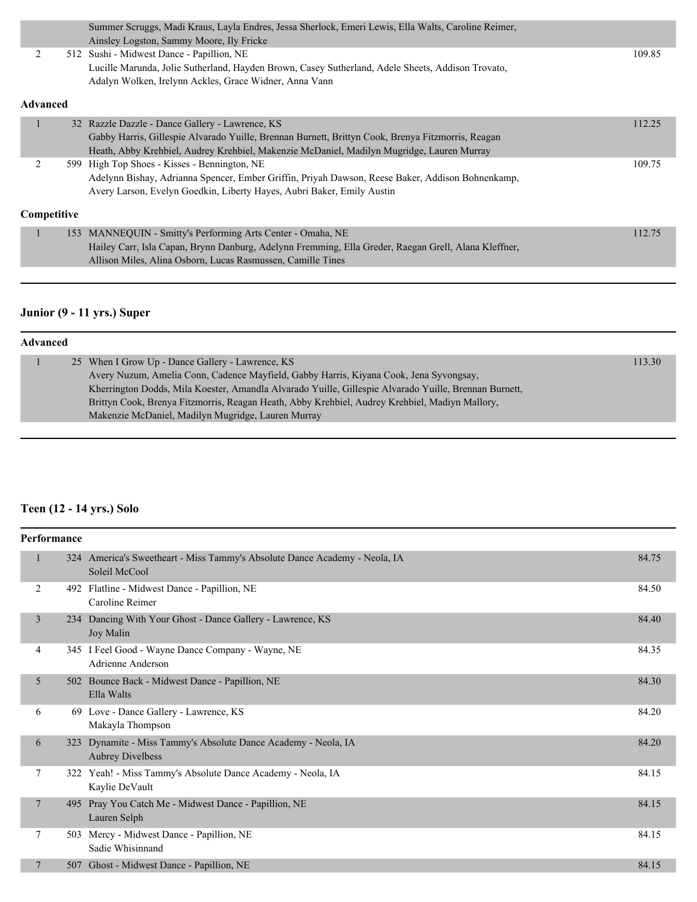| Summer Scruggs, Madi Kraus, Layla Endres, Jessa Sherlock, Emeri Lewis, Ella Walts, Caroline Reimer,<br>Ainsley Logston, Sammy Moore, Ily Fricke<br>2<br>512 Sushi - Midwest Dance - Papillion, NE<br>Lucille Marunda, Jolie Sutherland, Hayden Brown, Casey Sutherland, Adele Sheets, Addison Trovato,<br>Adalyn Wolken, Irelynn Ackles, Grace Widner, Anna Vann<br><b>Advanced</b><br>32 Razzle Dazzle - Dance Gallery - Lawrence, KS<br>Gabby Harris, Gillespie Alvarado Yuille, Brennan Burnett, Brittyn Cook, Brenya Fitzmorris, Reagan<br>Heath, Abby Krehbiel, Audrey Krehbiel, Makenzie McDaniel, Madilyn Mugridge, Lauren Murray<br>2<br>599 High Top Shoes - Kisses - Bennington, NE<br>Adelynn Bishay, Adrianna Spencer, Ember Griffin, Priyah Dawson, Reese Baker, Addison Bohnenkamp,<br>Avery Larson, Evelyn Goedkin, Liberty Hayes, Aubri Baker, Emily Austin<br><b>Competitive</b> |  |        |
|---------------------------------------------------------------------------------------------------------------------------------------------------------------------------------------------------------------------------------------------------------------------------------------------------------------------------------------------------------------------------------------------------------------------------------------------------------------------------------------------------------------------------------------------------------------------------------------------------------------------------------------------------------------------------------------------------------------------------------------------------------------------------------------------------------------------------------------------------------------------------------------------------|--|--------|
|                                                                                                                                                                                                                                                                                                                                                                                                                                                                                                                                                                                                                                                                                                                                                                                                                                                                                                   |  |        |
|                                                                                                                                                                                                                                                                                                                                                                                                                                                                                                                                                                                                                                                                                                                                                                                                                                                                                                   |  |        |
|                                                                                                                                                                                                                                                                                                                                                                                                                                                                                                                                                                                                                                                                                                                                                                                                                                                                                                   |  | 109.85 |
|                                                                                                                                                                                                                                                                                                                                                                                                                                                                                                                                                                                                                                                                                                                                                                                                                                                                                                   |  |        |
|                                                                                                                                                                                                                                                                                                                                                                                                                                                                                                                                                                                                                                                                                                                                                                                                                                                                                                   |  |        |
|                                                                                                                                                                                                                                                                                                                                                                                                                                                                                                                                                                                                                                                                                                                                                                                                                                                                                                   |  |        |
|                                                                                                                                                                                                                                                                                                                                                                                                                                                                                                                                                                                                                                                                                                                                                                                                                                                                                                   |  | 112.25 |
|                                                                                                                                                                                                                                                                                                                                                                                                                                                                                                                                                                                                                                                                                                                                                                                                                                                                                                   |  |        |
|                                                                                                                                                                                                                                                                                                                                                                                                                                                                                                                                                                                                                                                                                                                                                                                                                                                                                                   |  |        |
|                                                                                                                                                                                                                                                                                                                                                                                                                                                                                                                                                                                                                                                                                                                                                                                                                                                                                                   |  | 109.75 |
|                                                                                                                                                                                                                                                                                                                                                                                                                                                                                                                                                                                                                                                                                                                                                                                                                                                                                                   |  |        |
|                                                                                                                                                                                                                                                                                                                                                                                                                                                                                                                                                                                                                                                                                                                                                                                                                                                                                                   |  |        |
|                                                                                                                                                                                                                                                                                                                                                                                                                                                                                                                                                                                                                                                                                                                                                                                                                                                                                                   |  |        |
| MANNEQUIN - Smitty's Performing Arts Center - Omaha, NE<br>153                                                                                                                                                                                                                                                                                                                                                                                                                                                                                                                                                                                                                                                                                                                                                                                                                                    |  | 112.75 |
| Hailey Carr, Isla Capan, Brynn Danburg, Adelynn Fremming, Ella Greder, Raegan Grell, Alana Kleffner,                                                                                                                                                                                                                                                                                                                                                                                                                                                                                                                                                                                                                                                                                                                                                                                              |  |        |
| Allison Miles, Alina Osborn, Lucas Rasmussen, Camille Tines                                                                                                                                                                                                                                                                                                                                                                                                                                                                                                                                                                                                                                                                                                                                                                                                                                       |  |        |
|                                                                                                                                                                                                                                                                                                                                                                                                                                                                                                                                                                                                                                                                                                                                                                                                                                                                                                   |  |        |

# **Junior (9 - 11 yrs.) Super**

| Advanced |  |                                                                                                       |        |  |  |
|----------|--|-------------------------------------------------------------------------------------------------------|--------|--|--|
|          |  | 25 When I Grow Up - Dance Gallery - Lawrence, KS                                                      | 113.30 |  |  |
|          |  | Avery Nuzum, Amelia Conn, Cadence Mayfield, Gabby Harris, Kiyana Cook, Jena Syvongsay,                |        |  |  |
|          |  | Kherrington Dodds, Mila Koester, Amandla Alvarado Yuille, Gillespie Alvarado Yuille, Brennan Burnett, |        |  |  |
|          |  | Brittyn Cook, Brenya Fitzmorris, Reagan Heath, Abby Krehbiel, Audrey Krehbiel, Madiyn Mallory,        |        |  |  |
|          |  | Makenzie McDaniel, Madilyn Mugridge, Lauren Murray                                                    |        |  |  |

# **Teen (12 - 14 yrs.) Solo**

|   | Performance |                                                                                             |       |
|---|-------------|---------------------------------------------------------------------------------------------|-------|
|   |             | 324 America's Sweetheart - Miss Tammy's Absolute Dance Academy - Neola, IA<br>Soleil McCool | 84.75 |
| 2 | 492         | Flatline - Midwest Dance - Papillion, NE<br>Caroline Reimer                                 | 84.50 |
| 3 |             | 234 Dancing With Your Ghost - Dance Gallery - Lawrence, KS<br>Joy Malin                     | 84.40 |
| 4 |             | 345 I Feel Good - Wayne Dance Company - Wayne, NE<br>Adrienne Anderson                      | 84.35 |
| 5 | 502         | Bounce Back - Midwest Dance - Papillion, NE<br>Ella Walts                                   | 84.30 |
| 6 |             | 69 Love - Dance Gallery - Lawrence, KS<br>Makayla Thompson                                  | 84.20 |
| 6 | 323         | Dynamite - Miss Tammy's Absolute Dance Academy - Neola, IA<br><b>Aubrey Divelbess</b>       | 84.20 |
| 7 | 322         | Yeah! - Miss Tammy's Absolute Dance Academy - Neola, IA<br>Kaylie DeVault                   | 84.15 |
| 7 | 495         | Pray You Catch Me - Midwest Dance - Papillion, NE<br>Lauren Selph                           | 84.15 |
| 7 |             | 503 Mercy - Midwest Dance - Papillion, NE<br>Sadie Whisinnand                               | 84.15 |
| 7 |             | 507 Ghost - Midwest Dance - Papillion, NE                                                   | 84.15 |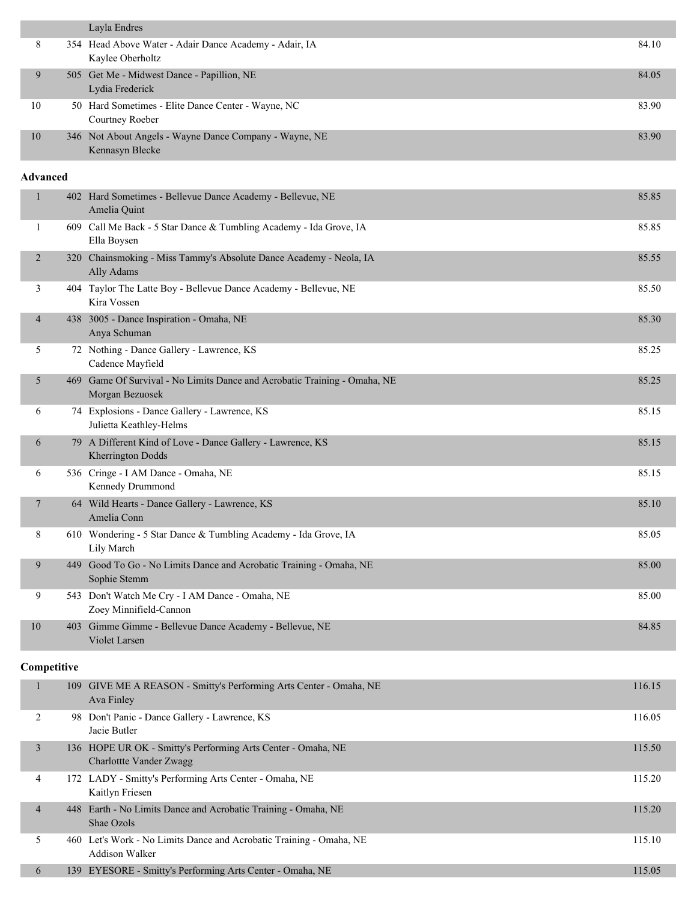|                 | Layla Endres                                                                                 |        |
|-----------------|----------------------------------------------------------------------------------------------|--------|
| 8               | 354 Head Above Water - Adair Dance Academy - Adair, IA<br>Kaylee Oberholtz                   | 84.10  |
| 9               | 505 Get Me - Midwest Dance - Papillion, NE<br>Lydia Frederick                                | 84.05  |
| 10              | 50 Hard Sometimes - Elite Dance Center - Wayne, NC<br>Courtney Roeber                        | 83.90  |
| 10              | 346 Not About Angels - Wayne Dance Company - Wayne, NE<br>Kennasyn Blecke                    | 83.90  |
| <b>Advanced</b> |                                                                                              |        |
| $\mathbf{1}$    | 402 Hard Sometimes - Bellevue Dance Academy - Bellevue, NE<br>Amelia Quint                   | 85.85  |
| 1               | 609 Call Me Back - 5 Star Dance & Tumbling Academy - Ida Grove, IA<br>Ella Boysen            | 85.85  |
| $\overline{2}$  | 320 Chainsmoking - Miss Tammy's Absolute Dance Academy - Neola, IA<br>Ally Adams             | 85.55  |
| 3               | 404 Taylor The Latte Boy - Bellevue Dance Academy - Bellevue, NE<br>Kira Vossen              | 85.50  |
| $\overline{4}$  | 438 3005 - Dance Inspiration - Omaha, NE<br>Anya Schuman                                     | 85.30  |
| 5               | 72 Nothing - Dance Gallery - Lawrence, KS<br>Cadence Mayfield                                | 85.25  |
| 5               | 469 Game Of Survival - No Limits Dance and Acrobatic Training - Omaha, NE<br>Morgan Bezuosek | 85.25  |
| 6               | 74 Explosions - Dance Gallery - Lawrence, KS<br>Julietta Keathley-Helms                      | 85.15  |
| 6               | 79 A Different Kind of Love - Dance Gallery - Lawrence, KS<br>Kherrington Dodds              | 85.15  |
| 6               | 536 Cringe - I AM Dance - Omaha, NE<br>Kennedy Drummond                                      | 85.15  |
| 7               | 64 Wild Hearts - Dance Gallery - Lawrence, KS<br>Amelia Conn                                 | 85.10  |
| 8               | 610 Wondering - 5 Star Dance & Tumbling Academy - Ida Grove, IA<br>Lily March                | 85.05  |
| 9               | 449 Good To Go - No Limits Dance and Acrobatic Training - Omaha, NE<br>Sophie Stemm          | 85.00  |
| 9               | 543 Don't Watch Me Cry - I AM Dance - Omaha, NE<br>Zoey Minnifield-Cannon                    | 85.00  |
| 10              | 403 Gimme Gimme - Bellevue Dance Academy - Bellevue, NE<br>Violet Larsen                     | 84.85  |
| Competitive     |                                                                                              |        |
| $\mathbf{1}$    | 109 GIVE ME A REASON - Smitty's Performing Arts Center - Omaha, NE<br>Ava Finley             | 116.15 |
| 2               | 98 Don't Panic - Dance Gallery - Lawrence, KS<br>Jacie Butler                                | 116.05 |
| $\mathfrak{Z}$  | 136 HOPE UR OK - Smitty's Performing Arts Center - Omaha, NE<br>Charlottte Vander Zwagg      | 115.50 |
| 4               | 172 LADY - Smitty's Performing Arts Center - Omaha, NE<br>Kaitlyn Friesen                    | 115.20 |
| $\overline{4}$  | 448 Earth - No Limits Dance and Acrobatic Training - Omaha, NE<br>Shae Ozols                 | 115.20 |
| 5               | 460 Let's Work - No Limits Dance and Acrobatic Training - Omaha, NE<br>Addison Walker        | 115.10 |

6 139 EYESORE - Smitty's Performing Arts Center - Omaha, NE 115.05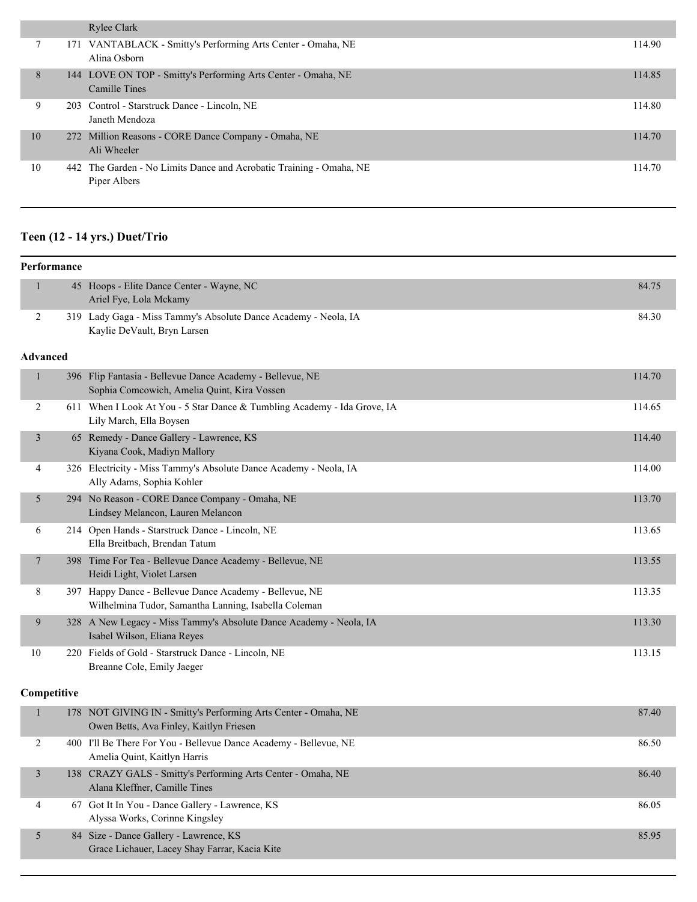|    | Rylee Clark                                                                         |        |
|----|-------------------------------------------------------------------------------------|--------|
|    | 171 VANTABLACK - Smitty's Performing Arts Center - Omaha, NE<br>Alina Osborn        | 114.90 |
| 8  | 144 LOVE ON TOP - Smitty's Performing Arts Center - Omaha, NE<br>Camille Tines      | 114.85 |
| 9  | 203 Control - Starstruck Dance - Lincoln, NE<br>Janeth Mendoza                      | 114.80 |
| 10 | 272 Million Reasons - CORE Dance Company - Omaha, NE<br>Ali Wheeler                 | 114.70 |
| 10 | 442 The Garden - No Limits Dance and Acrobatic Training - Omaha, NE<br>Piper Albers | 114.70 |

# **Teen (12 - 14 yrs.) Duet/Trio**

| Performance     |                                                                                                                 |        |
|-----------------|-----------------------------------------------------------------------------------------------------------------|--------|
| 1               | 45 Hoops - Elite Dance Center - Wayne, NC<br>Ariel Fye, Lola Mckamy                                             | 84.75  |
| 2               | 319 Lady Gaga - Miss Tammy's Absolute Dance Academy - Neola, IA<br>Kaylie DeVault, Bryn Larsen                  | 84.30  |
| <b>Advanced</b> |                                                                                                                 |        |
| $\mathbf{1}$    | 396 Flip Fantasia - Bellevue Dance Academy - Bellevue, NE<br>Sophia Comcowich, Amelia Quint, Kira Vossen        | 114.70 |
| $\overline{2}$  | 611 When I Look At You - 5 Star Dance & Tumbling Academy - Ida Grove, IA<br>Lily March, Ella Boysen             | 114.65 |
| $\mathfrak{Z}$  | 65 Remedy - Dance Gallery - Lawrence, KS<br>Kiyana Cook, Madiyn Mallory                                         | 114.40 |
| 4               | 326 Electricity - Miss Tammy's Absolute Dance Academy - Neola, IA<br>Ally Adams, Sophia Kohler                  | 114.00 |
| 5               | 294 No Reason - CORE Dance Company - Omaha, NE<br>Lindsey Melancon, Lauren Melancon                             | 113.70 |
| 6               | 214 Open Hands - Starstruck Dance - Lincoln, NE<br>Ella Breitbach, Brendan Tatum                                | 113.65 |
| 7               | 398 Time For Tea - Bellevue Dance Academy - Bellevue, NE<br>Heidi Light, Violet Larsen                          | 113.55 |
| 8               | 397 Happy Dance - Bellevue Dance Academy - Bellevue, NE<br>Wilhelmina Tudor, Samantha Lanning, Isabella Coleman | 113.35 |
| 9               | 328 A New Legacy - Miss Tammy's Absolute Dance Academy - Neola, IA<br>Isabel Wilson, Eliana Reyes               | 113.30 |
| 10              | 220 Fields of Gold - Starstruck Dance - Lincoln, NE<br>Breanne Cole, Emily Jaeger                               | 113.15 |
| Competitive     |                                                                                                                 |        |
| $\mathbf{1}$    | 178 NOT GIVING IN - Smitty's Performing Arts Center - Omaha, NE<br>Owen Betts, Ava Finley, Kaitlyn Friesen      | 87.40  |
| 2               | 400 I'll Be There For You - Bellevue Dance Academy - Bellevue, NE<br>Amelia Quint, Kaitlyn Harris               | 86.50  |

3 138 CRAZY GALS - Smitty's Performing Arts Center - Omaha, NE 86.40 Alana Kleffner, Camille Tines 4 67 Got It In You - Dance Gallery - Lawrence, KS 86.05 Alyssa Works, Corinne Kingsley 5 84 Size - Dance Gallery - Lawrence, KS 85.95 Grace Lichauer, Lacey Shay Farrar, Kacia Kite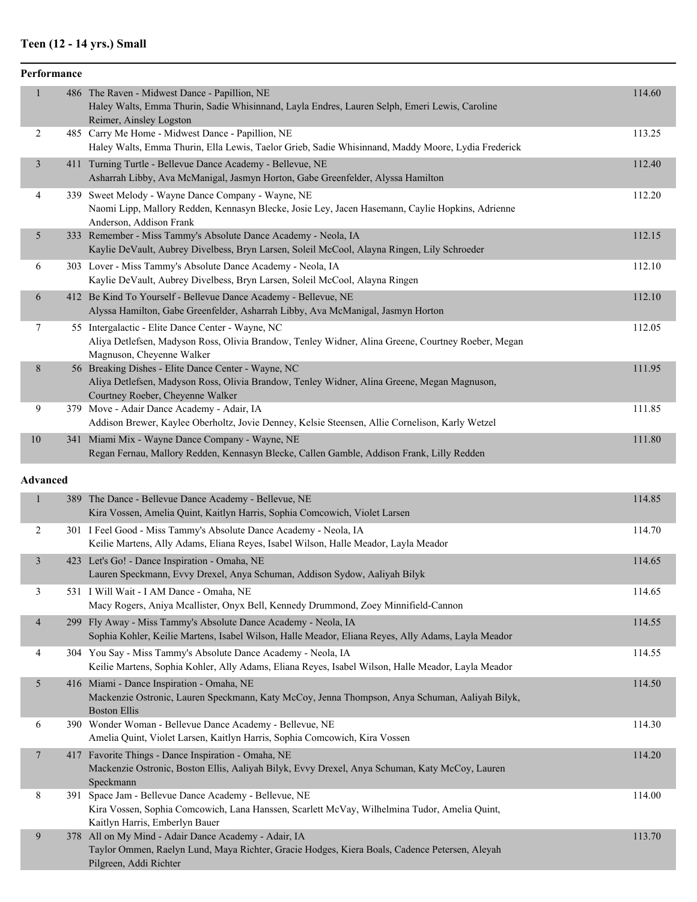# **Teen (12 - 14 yrs.) Small**

| Performance              |                                                                                                                                                                                         |        |
|--------------------------|-----------------------------------------------------------------------------------------------------------------------------------------------------------------------------------------|--------|
| $\mathbf{1}$             | 486 The Raven - Midwest Dance - Papillion, NE<br>Haley Walts, Emma Thurin, Sadie Whisinnand, Layla Endres, Lauren Selph, Emeri Lewis, Caroline<br>Reimer, Ainsley Logston               | 114.60 |
| 2                        | 485 Carry Me Home - Midwest Dance - Papillion, NE<br>Haley Walts, Emma Thurin, Ella Lewis, Taelor Grieb, Sadie Whisinnand, Maddy Moore, Lydia Frederick                                 | 113.25 |
| $\mathfrak{Z}$           | 411 Turning Turtle - Bellevue Dance Academy - Bellevue, NE<br>Asharrah Libby, Ava McManigal, Jasmyn Horton, Gabe Greenfelder, Alyssa Hamilton                                           | 112.40 |
| 4                        | 339 Sweet Melody - Wayne Dance Company - Wayne, NE<br>Naomi Lipp, Mallory Redden, Kennasyn Blecke, Josie Ley, Jacen Hasemann, Caylie Hopkins, Adrienne<br>Anderson, Addison Frank       | 112.20 |
| 5                        | 333 Remember - Miss Tammy's Absolute Dance Academy - Neola, IA<br>Kaylie DeVault, Aubrey Divelbess, Bryn Larsen, Soleil McCool, Alayna Ringen, Lily Schroeder                           | 112.15 |
| 6                        | 303 Lover - Miss Tammy's Absolute Dance Academy - Neola, IA<br>Kaylie DeVault, Aubrey Divelbess, Bryn Larsen, Soleil McCool, Alayna Ringen                                              | 112.10 |
| 6                        | 412 Be Kind To Yourself - Bellevue Dance Academy - Bellevue, NE<br>Alyssa Hamilton, Gabe Greenfelder, Asharrah Libby, Ava McManigal, Jasmyn Horton                                      | 112.10 |
| 7                        | 55 Intergalactic - Elite Dance Center - Wayne, NC<br>Aliya Detlefsen, Madyson Ross, Olivia Brandow, Tenley Widner, Alina Greene, Courtney Roeber, Megan<br>Magnuson, Cheyenne Walker    | 112.05 |
| 8                        | 56 Breaking Dishes - Elite Dance Center - Wayne, NC<br>Aliya Detlefsen, Madyson Ross, Olivia Brandow, Tenley Widner, Alina Greene, Megan Magnuson,<br>Courtney Roeber, Cheyenne Walker  | 111.95 |
| 9                        | 379 Move - Adair Dance Academy - Adair, IA<br>Addison Brewer, Kaylee Oberholtz, Jovie Denney, Kelsie Steensen, Allie Cornelison, Karly Wetzel                                           | 111.85 |
| 10                       | 341 Miami Mix - Wayne Dance Company - Wayne, NE<br>Regan Fernau, Mallory Redden, Kennasyn Blecke, Callen Gamble, Addison Frank, Lilly Redden                                            | 111.80 |
| <b>Advanced</b>          |                                                                                                                                                                                         |        |
| $\mathbf{1}$             | 389 The Dance - Bellevue Dance Academy - Bellevue, NE<br>Kira Vossen, Amelia Quint, Kaitlyn Harris, Sophia Comcowich, Violet Larsen                                                     | 114.85 |
| 2                        | 301 I Feel Good - Miss Tammy's Absolute Dance Academy - Neola, IA<br>Keilie Martens, Ally Adams, Eliana Reyes, Isabel Wilson, Halle Meador, Layla Meador                                | 114.70 |
| $\mathfrak{Z}$           | 423 Let's Go! - Dance Inspiration - Omaha, NE<br>Lauren Speckmann, Evvy Drexel, Anya Schuman, Addison Sydow, Aaliyah Bilyk                                                              | 114.65 |
| 3                        | 531 I Will Wait - I AM Dance - Omaha, NE<br>Macy Rogers, Aniya Mcallister, Onyx Bell, Kennedy Drummond, Zoey Minnifield-Cannon                                                          | 114.65 |
| $\overline{\mathcal{A}}$ | 299 Fly Away - Miss Tammy's Absolute Dance Academy - Neola, IA<br>Sophia Kohler, Keilie Martens, Isabel Wilson, Halle Meador, Eliana Reyes, Ally Adams, Layla Meador                    | 114.55 |
| 4                        | 304 You Say - Miss Tammy's Absolute Dance Academy - Neola, IA<br>Keilie Martens, Sophia Kohler, Ally Adams, Eliana Reyes, Isabel Wilson, Halle Meador, Layla Meador                     | 114.55 |
| 5                        | 416 Miami - Dance Inspiration - Omaha, NE<br>Mackenzie Ostronic, Lauren Speckmann, Katy McCoy, Jenna Thompson, Anya Schuman, Aaliyah Bilyk,<br><b>Boston Ellis</b>                      | 114.50 |
| 6                        | 390 Wonder Woman - Bellevue Dance Academy - Bellevue, NE<br>Amelia Quint, Violet Larsen, Kaitlyn Harris, Sophia Comcowich, Kira Vossen                                                  | 114.30 |
| $\tau$                   | 417 Favorite Things - Dance Inspiration - Omaha, NE<br>Mackenzie Ostronic, Boston Ellis, Aaliyah Bilyk, Evvy Drexel, Anya Schuman, Katy McCoy, Lauren<br>Speckmann                      | 114.20 |
| 8                        | 391 Space Jam - Bellevue Dance Academy - Bellevue, NE<br>Kira Vossen, Sophia Comcowich, Lana Hanssen, Scarlett McVay, Wilhelmina Tudor, Amelia Quint,<br>Kaitlyn Harris, Emberlyn Bauer | 114.00 |
| 9                        | 378 All on My Mind - Adair Dance Academy - Adair, IA<br>Taylor Ommen, Raelyn Lund, Maya Richter, Gracie Hodges, Kiera Boals, Cadence Petersen, Aleyah<br>Pilgreen, Addi Richter         | 113.70 |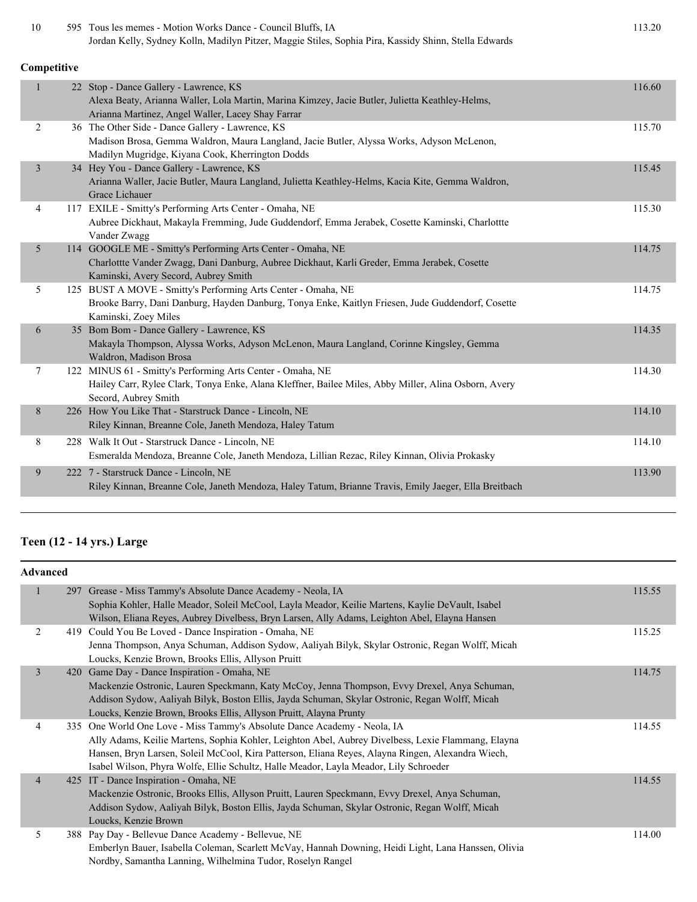| 10             | 595 Tous les memes - Motion Works Dance - Council Bluffs, IA<br>Jordan Kelly, Sydney Kolln, Madilyn Pitzer, Maggie Stiles, Sophia Pira, Kassidy Shinn, Stella Edwards                              | 113.20 |
|----------------|----------------------------------------------------------------------------------------------------------------------------------------------------------------------------------------------------|--------|
| Competitive    |                                                                                                                                                                                                    |        |
| $\mathbf{1}$   | 22 Stop - Dance Gallery - Lawrence, KS<br>Alexa Beaty, Arianna Waller, Lola Martin, Marina Kimzey, Jacie Butler, Julietta Keathley-Helms,<br>Arianna Martinez, Angel Waller, Lacey Shay Farrar     | 116.60 |
| 2              | 36 The Other Side - Dance Gallery - Lawrence, KS<br>Madison Brosa, Gemma Waldron, Maura Langland, Jacie Butler, Alyssa Works, Adyson McLenon,<br>Madilyn Mugridge, Kiyana Cook, Kherrington Dodds  | 115.70 |
| $\overline{3}$ | 34 Hey You - Dance Gallery - Lawrence, KS<br>Arianna Waller, Jacie Butler, Maura Langland, Julietta Keathley-Helms, Kacia Kite, Gemma Waldron,<br>Grace Lichauer                                   | 115.45 |
| 4              | 117 EXILE - Smitty's Performing Arts Center - Omaha, NE<br>Aubree Dickhaut, Makayla Fremming, Jude Guddendorf, Emma Jerabek, Cosette Kaminski, Charlottte<br>Vander Zwagg                          | 115.30 |
| 5              | 114 GOOGLE ME - Smitty's Performing Arts Center - Omaha, NE<br>Charlottte Vander Zwagg, Dani Danburg, Aubree Dickhaut, Karli Greder, Emma Jerabek, Cosette<br>Kaminski, Avery Secord, Aubrey Smith | 114.75 |
| 5              | 125 BUST A MOVE - Smitty's Performing Arts Center - Omaha, NE<br>Brooke Barry, Dani Danburg, Hayden Danburg, Tonya Enke, Kaitlyn Friesen, Jude Guddendorf, Cosette<br>Kaminski, Zoey Miles         | 114.75 |
| 6              | 35 Bom Bom - Dance Gallery - Lawrence, KS<br>Makayla Thompson, Alyssa Works, Adyson McLenon, Maura Langland, Corinne Kingsley, Gemma<br>Waldron, Madison Brosa                                     | 114.35 |
| $\tau$         | 122 MINUS 61 - Smitty's Performing Arts Center - Omaha, NE<br>Hailey Carr, Rylee Clark, Tonya Enke, Alana Kleffner, Bailee Miles, Abby Miller, Alina Osborn, Avery<br>Secord, Aubrey Smith         | 114.30 |
| 8              | 226 How You Like That - Starstruck Dance - Lincoln, NE<br>Riley Kinnan, Breanne Cole, Janeth Mendoza, Haley Tatum                                                                                  | 114.10 |
| 8              | 228 Walk It Out - Starstruck Dance - Lincoln, NE<br>Esmeralda Mendoza, Breanne Cole, Janeth Mendoza, Lillian Rezac, Riley Kinnan, Olivia Prokasky                                                  | 114.10 |
| 9              | 222 7 - Starstruck Dance - Lincoln, NE<br>Riley Kinnan, Breanne Cole, Janeth Mendoza, Haley Tatum, Brianne Travis, Emily Jaeger, Ella Breitbach                                                    | 113.90 |

# **Teen (12 - 14 yrs.) Large**

| <b>Advanced</b> |                                                                                                                                                                  |        |
|-----------------|------------------------------------------------------------------------------------------------------------------------------------------------------------------|--------|
| 1               | 297 Grease - Miss Tammy's Absolute Dance Academy - Neola, IA<br>Sophia Kohler, Halle Meador, Soleil McCool, Layla Meador, Keilie Martens, Kaylie DeVault, Isabel | 115.55 |
|                 | Wilson, Eliana Reyes, Aubrey Divelbess, Bryn Larsen, Ally Adams, Leighton Abel, Elayna Hansen                                                                    |        |
| 2               | 419 Could You Be Loved - Dance Inspiration - Omaha, NE                                                                                                           | 115.25 |
|                 | Jenna Thompson, Anya Schuman, Addison Sydow, Aaliyah Bilyk, Skylar Ostronic, Regan Wolff, Micah                                                                  |        |
|                 | Loucks, Kenzie Brown, Brooks Ellis, Allyson Pruitt                                                                                                               |        |
| $\overline{3}$  | 420 Game Day - Dance Inspiration - Omaha, NE                                                                                                                     | 114.75 |
|                 | Mackenzie Ostronic, Lauren Speckmann, Katy McCoy, Jenna Thompson, Evvy Drexel, Anya Schuman,                                                                     |        |
|                 | Addison Sydow, Aaliyah Bilyk, Boston Ellis, Jayda Schuman, Skylar Ostronic, Regan Wolff, Micah                                                                   |        |
|                 | Loucks, Kenzie Brown, Brooks Ellis, Allyson Pruitt, Alayna Prunty                                                                                                |        |
| 4               | 335 One World One Love - Miss Tammy's Absolute Dance Academy - Neola, IA                                                                                         | 114.55 |
|                 | Ally Adams, Keilie Martens, Sophia Kohler, Leighton Abel, Aubrey Divelbess, Lexie Flammang, Elayna                                                               |        |
|                 | Hansen, Bryn Larsen, Soleil McCool, Kira Patterson, Eliana Reyes, Alayna Ringen, Alexandra Wiech,                                                                |        |
|                 | Isabel Wilson, Phyra Wolfe, Ellie Schultz, Halle Meador, Layla Meador, Lily Schroeder                                                                            |        |
| $\overline{4}$  | 425 IT - Dance Inspiration - Omaha, NE                                                                                                                           | 114.55 |
|                 | Mackenzie Ostronic, Brooks Ellis, Allyson Pruitt, Lauren Speckmann, Evvy Drexel, Anya Schuman,                                                                   |        |
|                 | Addison Sydow, Aaliyah Bilyk, Boston Ellis, Jayda Schuman, Skylar Ostronic, Regan Wolff, Micah                                                                   |        |
|                 | Loucks, Kenzie Brown                                                                                                                                             |        |
| 5               | 388 Pay Day - Bellevue Dance Academy - Bellevue, NE                                                                                                              | 114.00 |
|                 | Emberlyn Bauer, Isabella Coleman, Scarlett McVay, Hannah Downing, Heidi Light, Lana Hanssen, Olivia                                                              |        |
|                 | Nordby, Samantha Lanning, Wilhelmina Tudor, Roselyn Rangel                                                                                                       |        |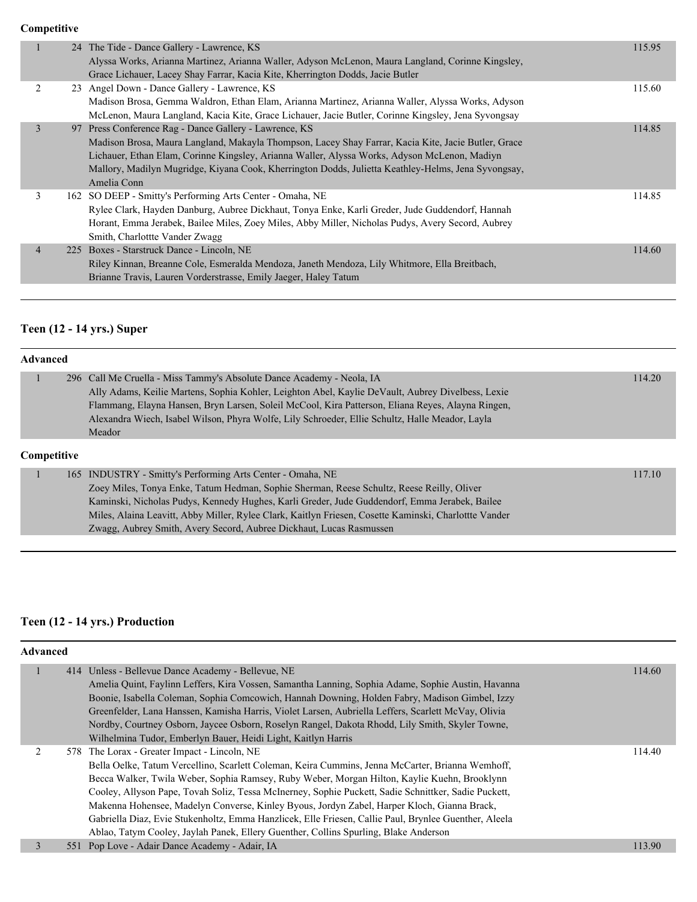**Competitive**

|                | 24 The Tide - Dance Gallery - Lawrence, KS                                                          | 115.95 |
|----------------|-----------------------------------------------------------------------------------------------------|--------|
|                | Alyssa Works, Arianna Martinez, Arianna Waller, Adyson McLenon, Maura Langland, Corinne Kingsley,   |        |
|                | Grace Lichauer, Lacey Shay Farrar, Kacia Kite, Kherrington Dodds, Jacie Butler                      |        |
| 2              | 23 Angel Down - Dance Gallery - Lawrence, KS                                                        | 115.60 |
|                | Madison Brosa, Gemma Waldron, Ethan Elam, Arianna Martinez, Arianna Waller, Alyssa Works, Adyson    |        |
|                | McLenon, Maura Langland, Kacia Kite, Grace Lichauer, Jacie Butler, Corinne Kingsley, Jena Syvongsay |        |
| 3              | 97 Press Conference Rag - Dance Gallery - Lawrence, KS                                              | 114.85 |
|                | Madison Brosa, Maura Langland, Makayla Thompson, Lacey Shay Farrar, Kacia Kite, Jacie Butler, Grace |        |
|                | Lichauer, Ethan Elam, Corinne Kingsley, Arianna Waller, Alyssa Works, Adyson McLenon, Madiyn        |        |
|                | Mallory, Madilyn Mugridge, Kiyana Cook, Kherrington Dodds, Julietta Keathley-Helms, Jena Syvongsay, |        |
|                | Amelia Conn                                                                                         |        |
| 3              | 162 SO DEEP - Smitty's Performing Arts Center - Omaha, NE                                           | 114.85 |
|                | Rylee Clark, Hayden Danburg, Aubree Dickhaut, Tonya Enke, Karli Greder, Jude Guddendorf, Hannah     |        |
|                | Horant, Emma Jerabek, Bailee Miles, Zoey Miles, Abby Miller, Nicholas Pudys, Avery Secord, Aubrey   |        |
|                | Smith, Charlottte Vander Zwagg                                                                      |        |
| $\overline{4}$ | 225 Boxes - Starstruck Dance - Lincoln, NE                                                          | 114.60 |
|                | Riley Kinnan, Breanne Cole, Esmeralda Mendoza, Janeth Mendoza, Lily Whitmore, Ella Breitbach,       |        |
|                | Brianne Travis, Lauren Vorderstrasse, Emily Jaeger, Haley Tatum                                     |        |
|                |                                                                                                     |        |

# **Teen (12 - 14 yrs.) Super**

## **Advanced**

|                    | 296 Call Me Cruella - Miss Tammy's Absolute Dance Academy - Neola, IA                             | 114.20 |
|--------------------|---------------------------------------------------------------------------------------------------|--------|
|                    | Ally Adams, Keilie Martens, Sophia Kohler, Leighton Abel, Kaylie DeVault, Aubrey Divelbess, Lexie |        |
|                    | Flammang, Elayna Hansen, Bryn Larsen, Soleil McCool, Kira Patterson, Eliana Reyes, Alayna Ringen, |        |
|                    | Alexandra Wiech, Isabel Wilson, Phyra Wolfe, Lily Schroeder, Ellie Schultz, Halle Meador, Layla   |        |
|                    | Meador                                                                                            |        |
| <b>Competitive</b> |                                                                                                   |        |
|                    | 165 INDUSTRY - Smitty's Performing Arts Center - Omaha, NE                                        | 117.10 |
|                    | Zoou Miles Tonyo Enlys Totum Hodman, Sankie Shamon, Dages Sakultz, Dages Daily, Oliver            |        |

| Zoey Miles, Tonya Enke, Tatum Hedman, Sophie Sherman, Reese Schultz, Reese Reilly, Oliver             |
|-------------------------------------------------------------------------------------------------------|
| Kaminski, Nicholas Pudys, Kennedy Hughes, Karli Greder, Jude Guddendorf, Emma Jerabek, Bailee         |
| Miles, Alaina Leavitt, Abby Miller, Rylee Clark, Kaitlyn Friesen, Cosette Kaminski, Charlottte Vander |
| Zwagg, Aubrey Smith, Avery Secord, Aubree Dickhaut, Lucas Rasmussen                                   |

# **Teen (12 - 14 yrs.) Production**

| <b>Advanced</b> |  |                                                                                                       |        |  |
|-----------------|--|-------------------------------------------------------------------------------------------------------|--------|--|
|                 |  | 414 Unless - Bellevue Dance Academy - Bellevue, NE                                                    | 114.60 |  |
|                 |  | Amelia Quint, Faylinn Leffers, Kira Vossen, Samantha Lanning, Sophia Adame, Sophie Austin, Havanna    |        |  |
|                 |  | Boonie, Isabella Coleman, Sophia Comcowich, Hannah Downing, Holden Fabry, Madison Gimbel, Izzy        |        |  |
|                 |  | Greenfelder, Lana Hanssen, Kamisha Harris, Violet Larsen, Aubriella Leffers, Scarlett McVay, Olivia   |        |  |
|                 |  | Nordby, Courtney Osborn, Jaycee Osborn, Roselyn Rangel, Dakota Rhodd, Lily Smith, Skyler Towne,       |        |  |
|                 |  | Wilhelmina Tudor, Emberlyn Bauer, Heidi Light, Kaitlyn Harris                                         |        |  |
|                 |  | 578 The Lorax - Greater Impact - Lincoln, NE                                                          | 114.40 |  |
|                 |  | Bella Oelke, Tatum Vercellino, Scarlett Coleman, Keira Cummins, Jenna McCarter, Brianna Wemhoff,      |        |  |
|                 |  | Becca Walker, Twila Weber, Sophia Ramsey, Ruby Weber, Morgan Hilton, Kaylie Kuehn, Brooklynn          |        |  |
|                 |  | Cooley, Allyson Pape, Tovah Soliz, Tessa McInerney, Sophie Puckett, Sadie Schnittker, Sadie Puckett,  |        |  |
|                 |  | Makenna Hohensee, Madelyn Converse, Kinley Byous, Jordyn Zabel, Harper Kloch, Gianna Brack,           |        |  |
|                 |  | Gabriella Diaz, Evie Stukenholtz, Emma Hanzlicek, Elle Friesen, Callie Paul, Brynlee Guenther, Aleela |        |  |
|                 |  | Ablao, Tatym Cooley, Jaylah Panek, Ellery Guenther, Collins Spurling, Blake Anderson                  |        |  |
| 3               |  | 551 Pop Love - Adair Dance Academy - Adair, IA                                                        | 113.90 |  |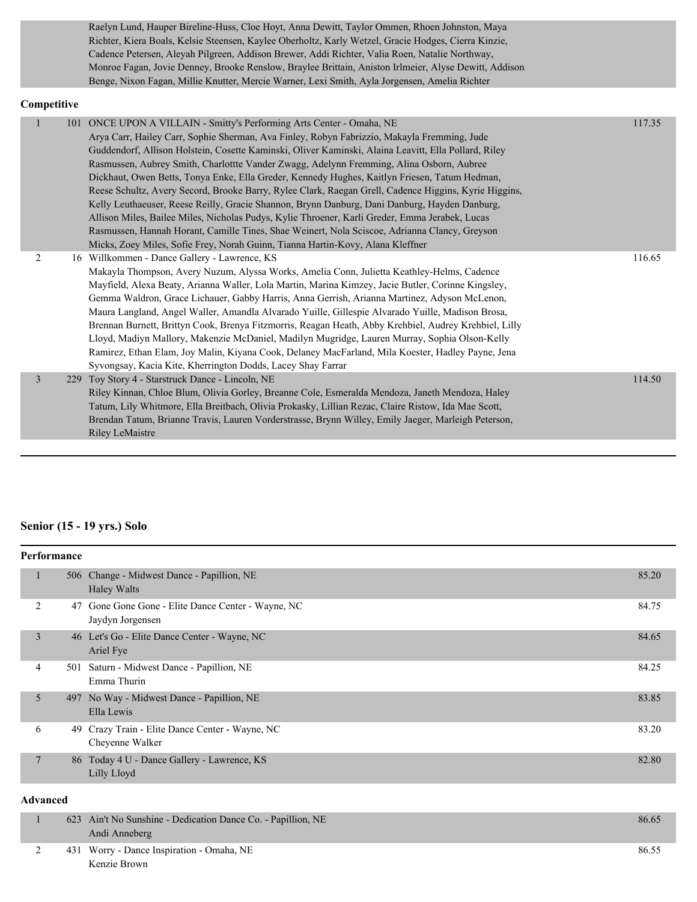Raelyn Lund, Hauper Bireline-Huss, Cloe Hoyt, Anna Dewitt, Taylor Ommen, Rhoen Johnston, Maya Richter, Kiera Boals, Kelsie Steensen, Kaylee Oberholtz, Karly Wetzel, Gracie Hodges, Cierra Kinzie, Cadence Petersen, Aleyah Pilgreen, Addison Brewer, Addi Richter, Valia Roen, Natalie Northway, Monroe Fagan, Jovie Denney, Brooke Renslow, Braylee Brittain, Aniston Irlmeier, Alyse Dewitt, Addison Benge, Nixon Fagan, Millie Knutter, Mercie Warner, Lexi Smith, Ayla Jorgensen, Amelia Richter

#### **Competitive**

|                | 101 ONCE UPON A VILLAIN - Smitty's Performing Arts Center - Omaha, NE<br>Arya Carr, Hailey Carr, Sophie Sherman, Ava Finley, Robyn Fabrizzio, Makayla Fremming, Jude<br>Guddendorf, Allison Holstein, Cosette Kaminski, Oliver Kaminski, Alaina Leavitt, Ella Pollard, Riley<br>Rasmussen, Aubrey Smith, Charlottte Vander Zwagg, Adelynn Fremming, Alina Osborn, Aubree<br>Dickhaut, Owen Betts, Tonya Enke, Ella Greder, Kennedy Hughes, Kaitlyn Friesen, Tatum Hedman,<br>Reese Schultz, Avery Secord, Brooke Barry, Rylee Clark, Raegan Grell, Cadence Higgins, Kyrie Higgins,<br>Kelly Leuthaeuser, Reese Reilly, Gracie Shannon, Brynn Danburg, Dani Danburg, Hayden Danburg,<br>Allison Miles, Bailee Miles, Nicholas Pudys, Kylie Throener, Karli Greder, Emma Jerabek, Lucas<br>Rasmussen, Hannah Horant, Camille Tines, Shae Weinert, Nola Sciscoe, Adrianna Clancy, Greyson<br>Micks, Zoey Miles, Sofie Frey, Norah Guinn, Tianna Hartin-Kovy, Alana Kleffner | 117.35 |
|----------------|--------------------------------------------------------------------------------------------------------------------------------------------------------------------------------------------------------------------------------------------------------------------------------------------------------------------------------------------------------------------------------------------------------------------------------------------------------------------------------------------------------------------------------------------------------------------------------------------------------------------------------------------------------------------------------------------------------------------------------------------------------------------------------------------------------------------------------------------------------------------------------------------------------------------------------------------------------------------------|--------|
| 2              | 16 Willkommen - Dance Gallery - Lawrence, KS<br>Makayla Thompson, Avery Nuzum, Alyssa Works, Amelia Conn, Julietta Keathley-Helms, Cadence<br>Mayfield, Alexa Beaty, Arianna Waller, Lola Martin, Marina Kimzey, Jacie Butler, Corinne Kingsley,<br>Gemma Waldron, Grace Lichauer, Gabby Harris, Anna Gerrish, Arianna Martinez, Adyson McLenon,<br>Maura Langland, Angel Waller, Amandla Alvarado Yuille, Gillespie Alvarado Yuille, Madison Brosa,<br>Brennan Burnett, Brittyn Cook, Brenya Fitzmorris, Reagan Heath, Abby Krehbiel, Audrey Krehbiel, Lilly<br>Lloyd, Madiyn Mallory, Makenzie McDaniel, Madilyn Mugridge, Lauren Murray, Sophia Olson-Kelly<br>Ramirez, Ethan Elam, Joy Malin, Kiyana Cook, Delaney MacFarland, Mila Koester, Hadley Payne, Jena<br>Syvongsay, Kacia Kite, Kherrington Dodds, Lacey Shay Farrar                                                                                                                                       | 116.65 |
| $\overline{3}$ | 229 Toy Story 4 - Starstruck Dance - Lincoln, NE<br>Riley Kinnan, Chloe Blum, Olivia Gorley, Breanne Cole, Esmeralda Mendoza, Janeth Mendoza, Haley<br>Tatum, Lily Whitmore, Ella Breitbach, Olivia Prokasky, Lillian Rezac, Claire Ristow, Ida Mae Scott,<br>Brendan Tatum, Brianne Travis, Lauren Vorderstrasse, Brynn Willey, Emily Jaeger, Marleigh Peterson,<br><b>Riley LeMaistre</b>                                                                                                                                                                                                                                                                                                                                                                                                                                                                                                                                                                              | 114.50 |

### **Senior (15 - 19 yrs.) Solo**

|                 | Performance |                                                                     |       |
|-----------------|-------------|---------------------------------------------------------------------|-------|
| 1               | 506         | Change - Midwest Dance - Papillion, NE<br><b>Haley Walts</b>        | 85.20 |
| 2               | 47          | Gone Gone Gone - Elite Dance Center - Wayne, NC<br>Jaydyn Jorgensen | 84.75 |
| 3               |             | 46 Let's Go - Elite Dance Center - Wayne, NC<br>Ariel Fye           | 84.65 |
| 4               | 501         | Saturn - Midwest Dance - Papillion, NE<br>Emma Thurin               | 84.25 |
| 5               |             | 497 No Way - Midwest Dance - Papillion, NE<br>Ella Lewis            | 83.85 |
| 6               | 49          | Crazy Train - Elite Dance Center - Wayne, NC<br>Cheyenne Walker     | 83.20 |
| $7\phantom{.0}$ |             | 86 Today 4 U - Dance Gallery - Lawrence, KS<br>Lilly Lloyd          | 82.80 |

#### **Advanced**

|  | 623 Ain't No Sunshine - Dedication Dance Co. - Papillion, NE | 86.65 |
|--|--------------------------------------------------------------|-------|
|  | Andi Anneberg                                                |       |
|  | 431 Worry - Dance Inspiration - Omaha, NE                    | 86.55 |
|  | Kenzie Brown                                                 |       |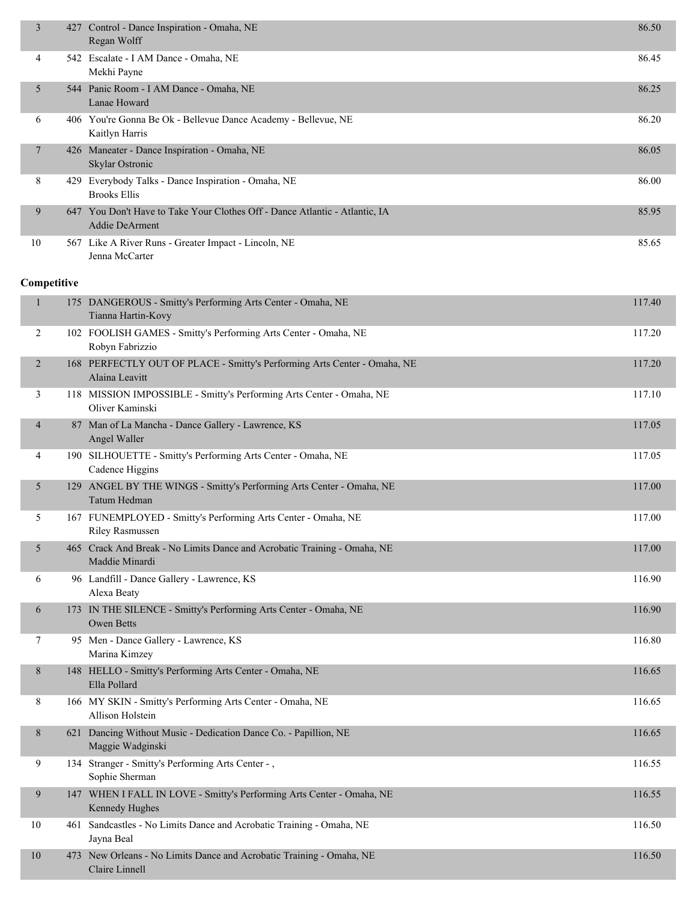| $\overline{3}$ |     | 427 Control - Dance Inspiration - Omaha, NE<br>Regan Wolff                                           | 86.50  |
|----------------|-----|------------------------------------------------------------------------------------------------------|--------|
| 4              |     | 542 Escalate - I AM Dance - Omaha, NE<br>Mekhi Payne                                                 | 86.45  |
| 5              |     | 544 Panic Room - I AM Dance - Omaha, NE<br>Lanae Howard                                              | 86.25  |
| 6              |     | 406 You're Gonna Be Ok - Bellevue Dance Academy - Bellevue, NE<br>Kaitlyn Harris                     | 86.20  |
| 7              |     | 426 Maneater - Dance Inspiration - Omaha, NE<br>Skylar Ostronic                                      | 86.05  |
| 8              |     | 429 Everybody Talks - Dance Inspiration - Omaha, NE<br><b>Brooks Ellis</b>                           | 86.00  |
| 9              |     | 647 You Don't Have to Take Your Clothes Off - Dance Atlantic - Atlantic, IA<br><b>Addie DeArment</b> | 85.95  |
| 10             |     | 567 Like A River Runs - Greater Impact - Lincoln, NE<br>Jenna McCarter                               | 85.65  |
| Competitive    |     |                                                                                                      |        |
| $\mathbf{1}$   |     | 175 DANGEROUS - Smitty's Performing Arts Center - Omaha, NE<br>Tianna Hartin-Kovy                    | 117.40 |
| 2              |     | 102 FOOLISH GAMES - Smitty's Performing Arts Center - Omaha, NE<br>Robyn Fabrizzio                   | 117.20 |
| $\overline{2}$ |     | 168 PERFECTLY OUT OF PLACE - Smitty's Performing Arts Center - Omaha, NE<br>Alaina Leavitt           | 117.20 |
| 3              |     | 118 MISSION IMPOSSIBLE - Smitty's Performing Arts Center - Omaha, NE<br>Oliver Kaminski              | 117.10 |
| 4              |     | 87 Man of La Mancha - Dance Gallery - Lawrence, KS<br>Angel Waller                                   | 117.05 |
| 4              |     | 190 SILHOUETTE - Smitty's Performing Arts Center - Omaha, NE<br>Cadence Higgins                      | 117.05 |
| 5              |     | 129 ANGEL BY THE WINGS - Smitty's Performing Arts Center - Omaha, NE<br>Tatum Hedman                 | 117.00 |
| 5              |     | 167 FUNEMPLOYED - Smitty's Performing Arts Center - Omaha, NE<br><b>Riley Rasmussen</b>              | 117.00 |
| 5              |     | 465 Crack And Break - No Limits Dance and Acrobatic Training - Omaha, NE<br>Maddie Minardi           | 117.00 |
| 6              |     | 96 Landfill - Dance Gallery - Lawrence, KS<br>Alexa Beaty                                            | 116.90 |
| 6              |     | 173 IN THE SILENCE - Smitty's Performing Arts Center - Omaha, NE<br>Owen Betts                       | 116.90 |
| 7              |     | 95 Men - Dance Gallery - Lawrence, KS<br>Marina Kimzey                                               | 116.80 |
| 8              |     | 148 HELLO - Smitty's Performing Arts Center - Omaha, NE<br>Ella Pollard                              | 116.65 |
| 8              |     | 166 MY SKIN - Smitty's Performing Arts Center - Omaha, NE<br>Allison Holstein                        | 116.65 |
| 8              | 621 | Dancing Without Music - Dedication Dance Co. - Papillion, NE<br>Maggie Wadginski                     | 116.65 |
| 9              |     | 134 Stranger - Smitty's Performing Arts Center -,<br>Sophie Sherman                                  | 116.55 |
| 9              |     | 147 WHEN I FALL IN LOVE - Smitty's Performing Arts Center - Omaha, NE<br>Kennedy Hughes              | 116.55 |
| 10             |     | 461 Sandcastles - No Limits Dance and Acrobatic Training - Omaha, NE<br>Jayna Beal                   | 116.50 |
| 10             |     | 473 New Orleans - No Limits Dance and Acrobatic Training - Omaha, NE<br>Claire Linnell               | 116.50 |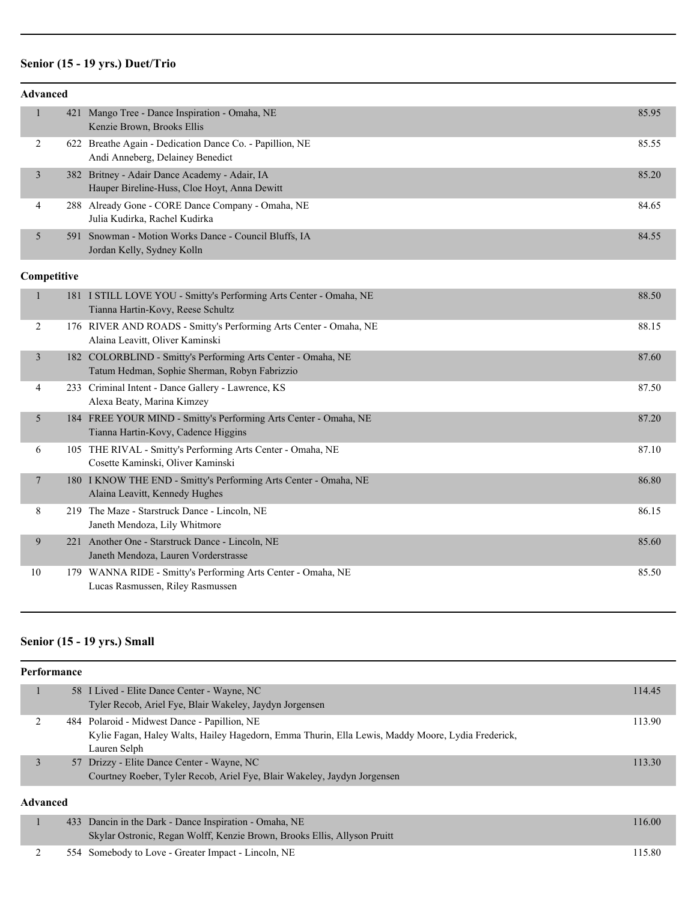# **Senior (15 - 19 yrs.) Duet/Trio**

| <b>Advanced</b> |     |                                                                                                               |       |
|-----------------|-----|---------------------------------------------------------------------------------------------------------------|-------|
| $\mathbf{1}$    | 421 | Mango Tree - Dance Inspiration - Omaha, NE<br>Kenzie Brown, Brooks Ellis                                      | 85.95 |
| $\overline{2}$  |     | 622 Breathe Again - Dedication Dance Co. - Papillion, NE<br>Andi Anneberg, Delainey Benedict                  | 85.55 |
| 3               |     | 382 Britney - Adair Dance Academy - Adair, IA<br>Hauper Bireline-Huss, Cloe Hoyt, Anna Dewitt                 | 85.20 |
| 4               |     | 288 Already Gone - CORE Dance Company - Omaha, NE<br>Julia Kudirka, Rachel Kudirka                            | 84.65 |
| 5               |     | 591 Snowman - Motion Works Dance - Council Bluffs, IA<br>Jordan Kelly, Sydney Kolln                           | 84.55 |
| Competitive     |     |                                                                                                               |       |
| $\mathbf{1}$    |     | 181 I STILL LOVE YOU - Smitty's Performing Arts Center - Omaha, NE<br>Tianna Hartin-Kovy, Reese Schultz       | 88.50 |
| 2               |     | 176 RIVER AND ROADS - Smitty's Performing Arts Center - Omaha, NE<br>Alaina Leavitt, Oliver Kaminski          | 88.15 |
| 3               |     | 182 COLORBLIND - Smitty's Performing Arts Center - Omaha, NE<br>Tatum Hedman, Sophie Sherman, Robyn Fabrizzio | 87.60 |
| 4               |     | 233 Criminal Intent - Dance Gallery - Lawrence, KS<br>Alexa Beaty, Marina Kimzey                              | 87.50 |
| 5               |     | 184 FREE YOUR MIND - Smitty's Performing Arts Center - Omaha, NE<br>Tianna Hartin-Kovy, Cadence Higgins       | 87.20 |
| 6               |     | 105 THE RIVAL - Smitty's Performing Arts Center - Omaha, NE<br>Cosette Kaminski, Oliver Kaminski              | 87.10 |
| 7               |     | 180 I KNOW THE END - Smitty's Performing Arts Center - Omaha, NE<br>Alaina Leavitt, Kennedy Hughes            | 86.80 |
| 8               |     | 219 The Maze - Starstruck Dance - Lincoln, NE<br>Janeth Mendoza, Lily Whitmore                                | 86.15 |
| 9               |     | 221 Another One - Starstruck Dance - Lincoln, NE<br>Janeth Mendoza, Lauren Vorderstrasse                      | 85.60 |
| 10              |     | 179 WANNA RIDE - Smitty's Performing Arts Center - Omaha, NE<br>Lucas Rasmussen, Riley Rasmussen              | 85.50 |

# **Senior (15 - 19 yrs.) Small**

| Performance |  |                                                                                                   |        |  |
|-------------|--|---------------------------------------------------------------------------------------------------|--------|--|
|             |  | 58 I Lived - Elite Dance Center - Wayne, NC                                                       | 114.45 |  |
|             |  | Tyler Recob, Ariel Fye, Blair Wakeley, Jaydyn Jorgensen                                           |        |  |
|             |  | 484 Polaroid - Midwest Dance - Papillion, NE                                                      | 113.90 |  |
|             |  | Kylie Fagan, Haley Walts, Hailey Hagedorn, Emma Thurin, Ella Lewis, Maddy Moore, Lydia Frederick, |        |  |
|             |  | Lauren Selph                                                                                      |        |  |
| 3           |  | 57 Drizzy - Elite Dance Center - Wayne, NC                                                        | 113.30 |  |
|             |  | Courtney Roeber, Tyler Recob, Ariel Fye, Blair Wakeley, Jaydyn Jorgensen                          |        |  |
| Advanced    |  |                                                                                                   |        |  |
|             |  | 433 Dancin in the Dark - Dance Inspiration - Omaha, NE                                            | 116.00 |  |
|             |  | Skylar Ostronic, Regan Wolff, Kenzie Brown, Brooks Ellis, Allyson Pruitt                          |        |  |

| 554 Somebody to Love - Greater Impact - Lincoln, NE | 15.80 |
|-----------------------------------------------------|-------|
|-----------------------------------------------------|-------|